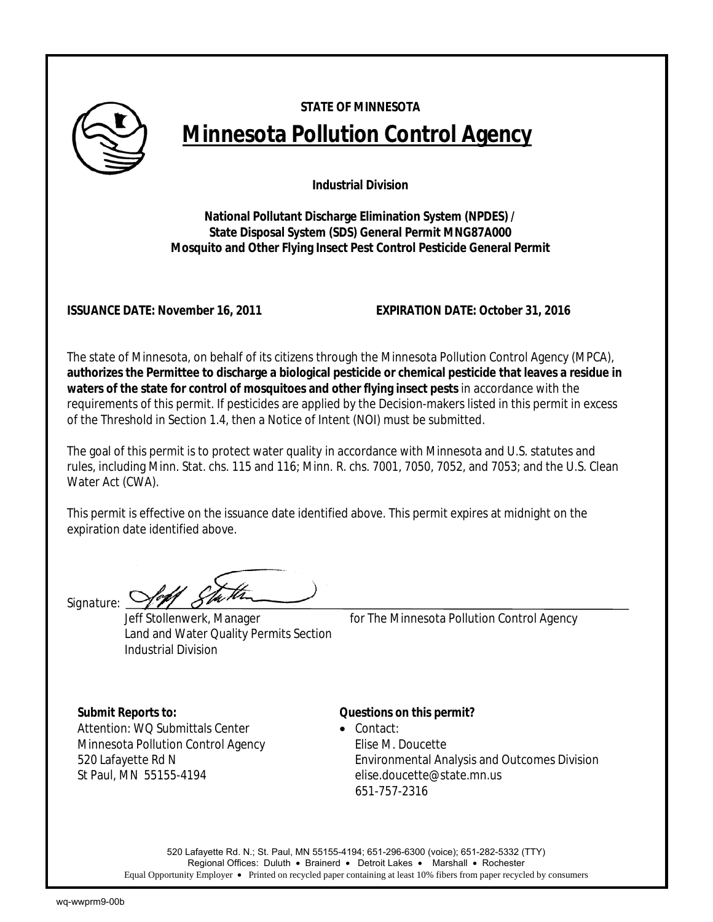

# **STATE OF MINNESOTA Minnesota Pollution Control Agency**

**Industrial Division** 

**National Pollutant Discharge Elimination System (NPDES) / State Disposal System (SDS) General Permit MNG87A000 Mosquito and Other Flying Insect Pest Control Pesticide General Permit** 

**ISSUANCE DATE: November 16, 2011 EXPIRATION DATE: October 31, 2016**

The state of Minnesota, on behalf of its citizens through the Minnesota Pollution Control Agency (MPCA), **authorizes the Permittee to discharge a biological pesticide or chemical pesticide that leaves a residue in waters of the state for control of mosquitoes and other flying insect pests** in accordance with the requirements of this permit. If pesticides are applied by the Decision-makers listed in this permit in excess of the Threshold in Section 1.4, then a Notice of Intent (NOI) must be submitted.

The goal of this permit is to protect water quality in accordance with Minnesota and U.S. statutes and rules, including Minn. Stat. chs. 115 and 116; Minn. R. chs. 7001, 7050, 7052, and 7053; and the U.S. Clean Water Act (CWA).

This permit is effective on the issuance date identified above. This permit expires at midnight on the expiration date identified above.

Signature: *Yell* 

Land and Water Quality Permits Section Industrial Division

Jeff Stollenwerk, Manager *for* The Minnesota Pollution Control Agency

Attention: WQ Submittals Center • Contact: Minnesota Pollution Control Agency Filise M. Doucette St Paul, MN 55155-4194 elise.doucette@state.mn.us

## *Submit Reports to: Questions on this permit?*

520 Lafayette Rd N Environmental Analysis and Outcomes Division 651-757-2316

520 Lafayette Rd. N.; St. Paul, MN 55155-4194; 651-296-6300 (voice); 651-282-5332 (TTY) Regional Offices: Duluth • Brainerd • Detroit Lakes • Marshall • Rochester Equal Opportunity Employer • Printed on recycled paper containing at least 10% fibers from paper recycled by consumers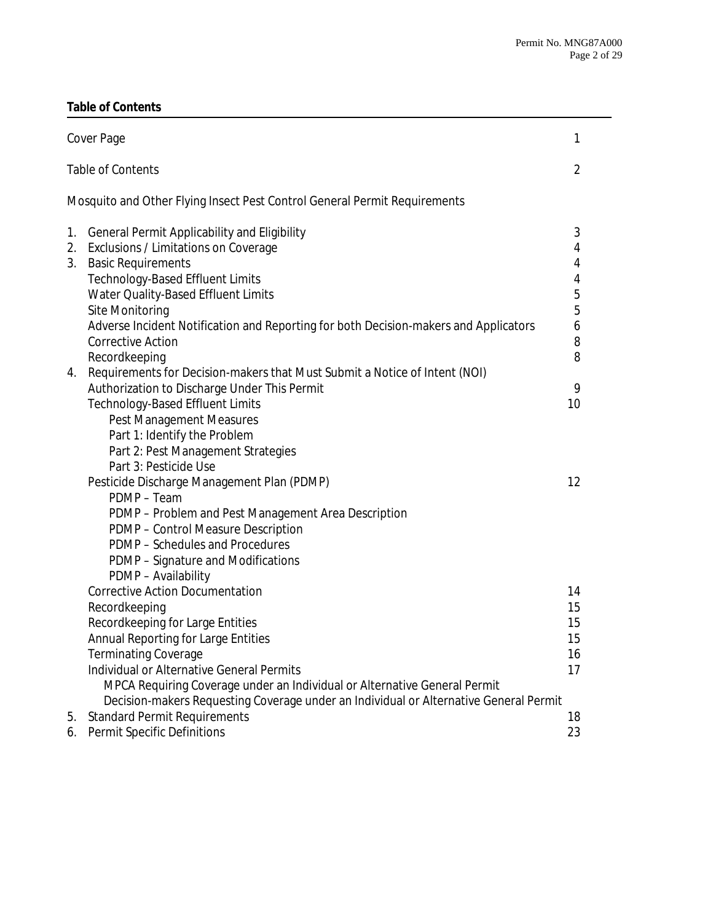# **Table of Contents**

|                          | Cover Page                                                                            | 1  |
|--------------------------|---------------------------------------------------------------------------------------|----|
| <b>Table of Contents</b> |                                                                                       |    |
|                          | Mosquito and Other Flying Insect Pest Control General Permit Requirements             |    |
| 1.                       | <b>General Permit Applicability and Eligibility</b>                                   | 3  |
| 2.                       | Exclusions / Limitations on Coverage                                                  | 4  |
| 3.                       | <b>Basic Requirements</b>                                                             | 4  |
|                          | <b>Technology-Based Effluent Limits</b>                                               | 4  |
|                          | Water Quality-Based Effluent Limits                                                   | 5  |
|                          | Site Monitoring                                                                       | 5  |
|                          | Adverse Incident Notification and Reporting for both Decision-makers and Applicators  | 6  |
|                          | <b>Corrective Action</b>                                                              | 8  |
|                          | Recordkeeping                                                                         | 8  |
|                          | 4. Requirements for Decision-makers that Must Submit a Notice of Intent (NOI)         |    |
|                          | Authorization to Discharge Under This Permit                                          | 9  |
|                          | <b>Technology-Based Effluent Limits</b>                                               | 10 |
|                          | <b>Pest Management Measures</b>                                                       |    |
|                          | Part 1: Identify the Problem                                                          |    |
|                          | Part 2: Pest Management Strategies                                                    |    |
|                          | Part 3: Pesticide Use                                                                 |    |
|                          | Pesticide Discharge Management Plan (PDMP)                                            | 12 |
|                          | PDMP - Team                                                                           |    |
|                          | PDMP - Problem and Pest Management Area Description                                   |    |
|                          | PDMP - Control Measure Description<br>PDMP - Schedules and Procedures                 |    |
|                          | PDMP - Signature and Modifications                                                    |    |
|                          | PDMP - Availability                                                                   |    |
|                          | <b>Corrective Action Documentation</b>                                                | 14 |
|                          | Recordkeeping                                                                         | 15 |
|                          | Recordkeeping for Large Entities                                                      | 15 |
|                          | Annual Reporting for Large Entities                                                   | 15 |
|                          | Terminating Coverage                                                                  | 16 |
|                          | Individual or Alternative General Permits                                             | 17 |
|                          | MPCA Requiring Coverage under an Individual or Alternative General Permit             |    |
|                          | Decision-makers Requesting Coverage under an Individual or Alternative General Permit |    |
| 5.                       | <b>Standard Permit Requirements</b>                                                   | 18 |
| 6.                       | Permit Specific Definitions                                                           | 23 |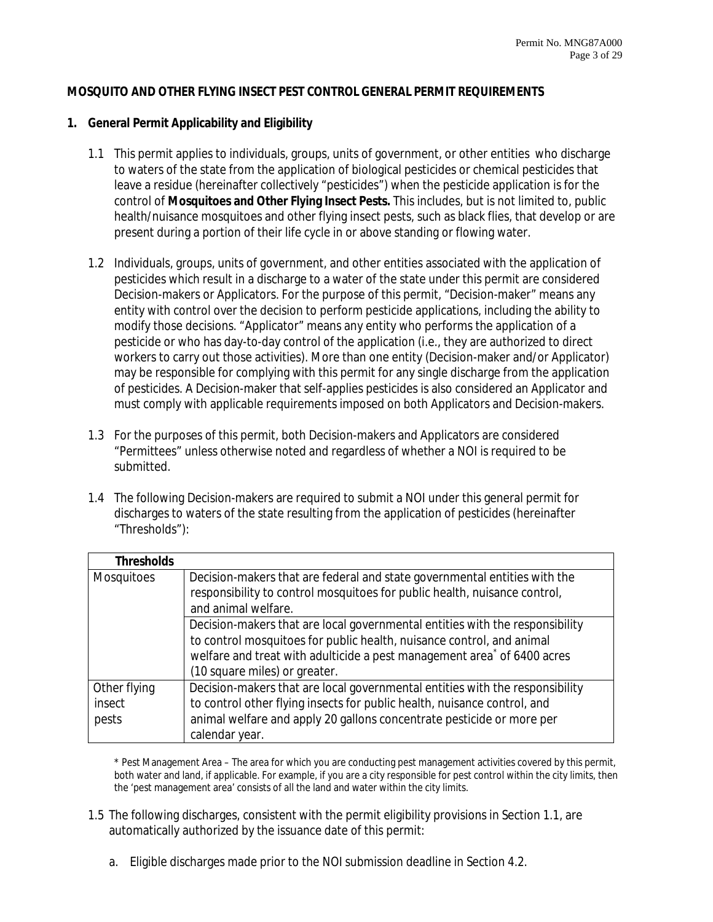#### **MOSQUITO AND OTHER FLYING INSECT PEST CONTROL GENERAL PERMIT REQUIREMENTS**

#### **1. General Permit Applicability and Eligibility**

- 1.1 This permit applies to individuals, groups, units of government, or other entities who discharge to waters of the state from the application of biological pesticides or chemical pesticides that leave a residue (hereinafter collectively "pesticides") when the pesticide application is for the control of **Mosquitoes and Other Flying Insect Pests.** This includes, but is not limited to, public health/nuisance mosquitoes and other flying insect pests, such as black flies, that develop or are present during a portion of their life cycle in or above standing or flowing water.
- 1.2 Individuals, groups, units of government, and other entities associated with the application of pesticides which result in a discharge to a water of the state under this permit are considered Decision-makers or Applicators. For the purpose of this permit, "Decision-maker" means any entity with control over the decision to perform pesticide applications, including the ability to modify those decisions. "Applicator" means any entity who performs the application of a pesticide or who has day-to-day control of the application (i.e., they are authorized to direct workers to carry out those activities). More than one entity (Decision-maker and/or Applicator) may be responsible for complying with this permit for any single discharge from the application of pesticides. A Decision-maker that self-applies pesticides is also considered an Applicator and must comply with applicable requirements imposed on both Applicators and Decision-makers.
- 1.3 For the purposes of this permit, both Decision-makers and Applicators are considered "Permittees" unless otherwise noted and regardless of whether a NOI is required to be submitted.
- 1.4 The following Decision-makers are required to submit a NOI under this general permit for discharges to waters of the state resulting from the application of pesticides (hereinafter "Thresholds"):

| <b>Thresholds</b> |                                                                                     |
|-------------------|-------------------------------------------------------------------------------------|
| <b>Mosquitoes</b> | Decision-makers that are federal and state governmental entities with the           |
|                   | responsibility to control mosquitoes for public health, nuisance control,           |
|                   | and animal welfare.                                                                 |
|                   | Decision-makers that are local governmental entities with the responsibility        |
|                   | to control mosquitoes for public health, nuisance control, and animal               |
|                   | welfare and treat with adulticide a pest management area <sup>*</sup> of 6400 acres |
|                   | (10 square miles) or greater.                                                       |
| Other flying      | Decision-makers that are local governmental entities with the responsibility        |
| insect            | to control other flying insects for public health, nuisance control, and            |
| pests             | animal welfare and apply 20 gallons concentrate pesticide or more per               |
|                   | calendar year.                                                                      |

 \* Pest Management Area – The area for which you are conducting pest management activities covered by this permit, both water and land, if applicable. For example, if you are a city responsible for pest control within the city limits, then the 'pest management area' consists of all the land and water within the city limits.

- 1.5 The following discharges, consistent with the permit eligibility provisions in Section 1.1, are automatically authorized by the issuance date of this permit:
	- a. Eligible discharges made prior to the NOI submission deadline in Section 4.2.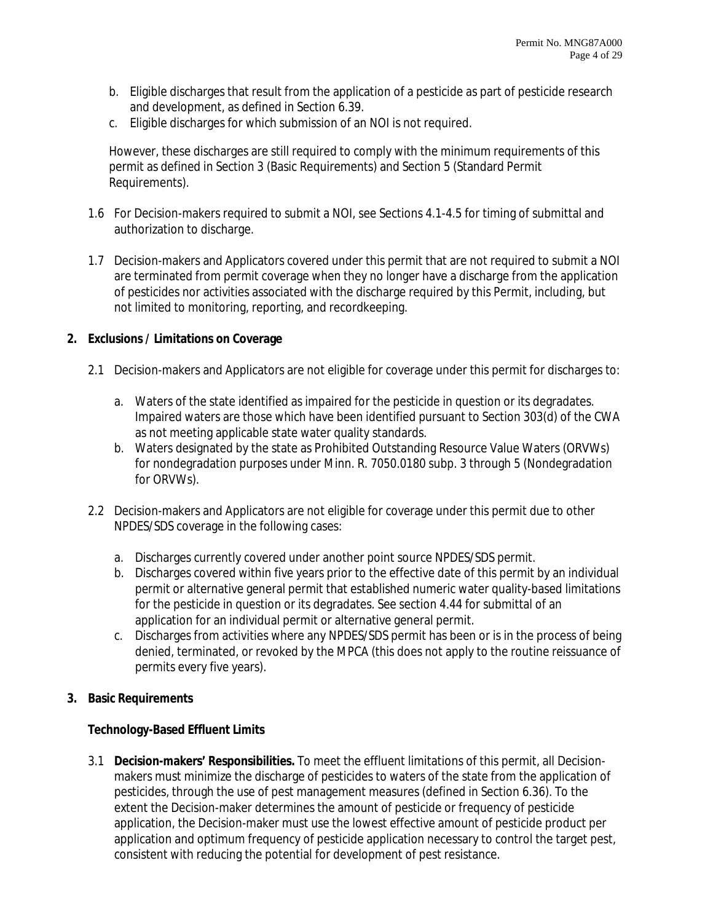- b. Eligible discharges that result from the application of a pesticide as part of pesticide research and development, as defined in Section 6.39.
- c. Eligible discharges for which submission of an NOI is not required.

However, these discharges are still required to comply with the minimum requirements of this permit as defined in Section 3 (Basic Requirements) and Section 5 (Standard Permit Requirements).

- 1.6 For Decision-makers required to submit a NOI, see Sections 4.1-4.5 for timing of submittal and authorization to discharge.
- 1.7 Decision-makers and Applicators covered under this permit that are not required to submit a NOI are terminated from permit coverage when they no longer have a discharge from the application of pesticides nor activities associated with the discharge required by this Permit, including, but not limited to monitoring, reporting, and recordkeeping.

## **2. Exclusions / Limitations on Coverage**

- 2.1 Decision-makers and Applicators are not eligible for coverage under this permit for discharges to:
	- a. Waters of the state identified as impaired for the pesticide in question or its degradates. Impaired waters are those which have been identified pursuant to Section 303(d) of the CWA as not meeting applicable state water quality standards.
	- b. Waters designated by the state as Prohibited Outstanding Resource Value Waters (ORVWs) for nondegradation purposes under Minn. R. 7050.0180 subp. 3 through 5 (Nondegradation for ORVWs).
- 2.2 Decision-makers and Applicators are not eligible for coverage under this permit due to other NPDES/SDS coverage in the following cases:
	- a. Discharges currently covered under another point source NPDES/SDS permit.
	- b. Discharges covered within five years prior to the effective date of this permit by an individual permit or alternative general permit that established numeric water quality-based limitations for the pesticide in question or its degradates. See section 4.44 for submittal of an application for an individual permit or alternative general permit.
	- c. Discharges from activities where any NPDES/SDS permit has been or is in the process of being denied, terminated, or revoked by the MPCA (this does not apply to the routine reissuance of permits every five years).
- **3. Basic Requirements**

## **Technology-Based Effluent Limits**

3.1 **Decision-makers' Responsibilities.** To meet the effluent limitations of this permit, all Decisionmakers must minimize the discharge of pesticides to waters of the state from the application of pesticides, through the use of pest management measures (defined in Section 6.36). To the extent the Decision-maker determines the amount of pesticide or frequency of pesticide application, the Decision-maker must use the lowest effective amount of pesticide product per application and optimum frequency of pesticide application necessary to control the target pest, consistent with reducing the potential for development of pest resistance.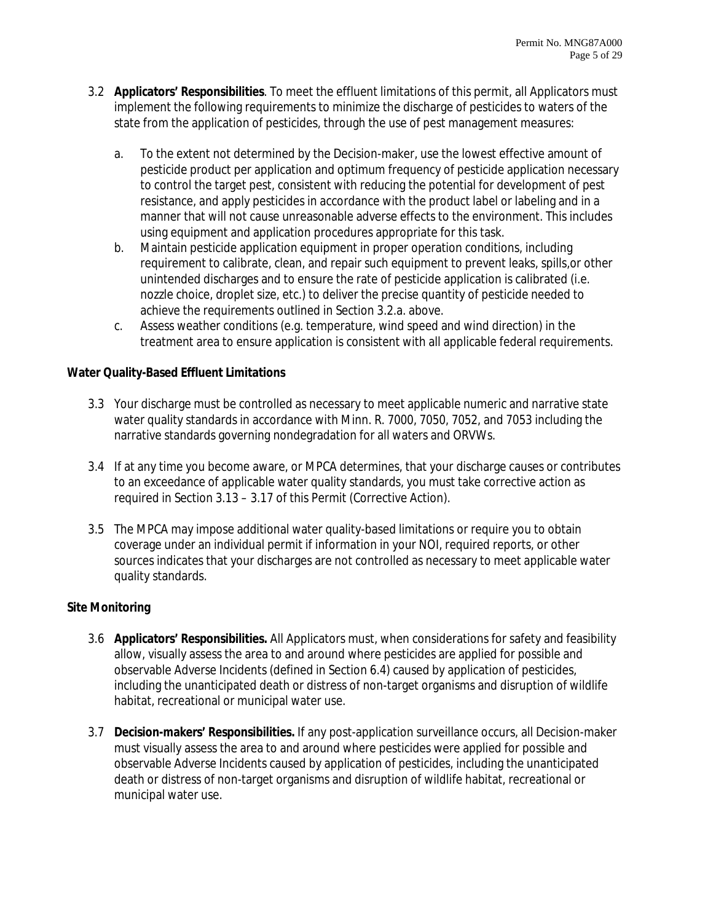- 3.2 **Applicators' Responsibilities**. To meet the effluent limitations of this permit, all Applicators must implement the following requirements to minimize the discharge of pesticides to waters of the state from the application of pesticides, through the use of pest management measures:
	- a. To the extent not determined by the Decision-maker, use the lowest effective amount of pesticide product per application and optimum frequency of pesticide application necessary to control the target pest, consistent with reducing the potential for development of pest resistance, and apply pesticides in accordance with the product label or labeling and in a manner that will not cause unreasonable adverse effects to the environment. This includes using equipment and application procedures appropriate for this task.
	- b. Maintain pesticide application equipment in proper operation conditions, including requirement to calibrate, clean, and repair such equipment to prevent leaks, spills,or other unintended discharges and to ensure the rate of pesticide application is calibrated (i.e. nozzle choice, droplet size, etc.) to deliver the precise quantity of pesticide needed to achieve the requirements outlined in Section 3.2.a. above.
	- c. Assess weather conditions (e.g. temperature, wind speed and wind direction) in the treatment area to ensure application is consistent with all applicable federal requirements.

## **Water Quality-Based Effluent Limitations**

- 3.3 Your discharge must be controlled as necessary to meet applicable numeric and narrative state water quality standards in accordance with Minn. R. 7000, 7050, 7052, and 7053 including the narrative standards governing nondegradation for all waters and ORVWs.
- 3.4 If at any time you become aware, or MPCA determines, that your discharge causes or contributes to an exceedance of applicable water quality standards, you must take corrective action as required in Section 3.13 – 3.17 of this Permit (Corrective Action).
- 3.5 The MPCA may impose additional water quality-based limitations or require you to obtain coverage under an individual permit if information in your NOI, required reports, or other sources indicates that your discharges are not controlled as necessary to meet applicable water quality standards.

## **Site Monitoring**

- 3.6 **Applicators' Responsibilities.** All Applicators must, when considerations for safety and feasibility allow, visually assess the area to and around where pesticides are applied for possible and observable Adverse Incidents (defined in Section 6.4) caused by application of pesticides, including the unanticipated death or distress of non-target organisms and disruption of wildlife habitat, recreational or municipal water use.
- 3.7 **Decision-makers' Responsibilities.** If any post-application surveillance occurs, all Decision-maker must visually assess the area to and around where pesticides were applied for possible and observable Adverse Incidents caused by application of pesticides, including the unanticipated death or distress of non-target organisms and disruption of wildlife habitat, recreational or municipal water use.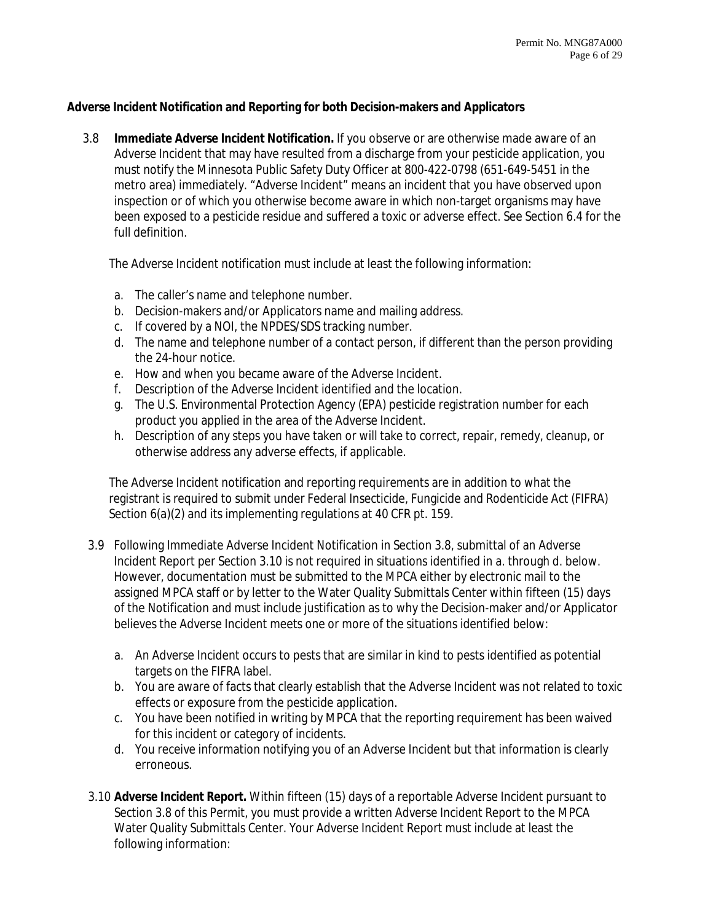## **Adverse Incident Notification and Reporting for both Decision-makers and Applicators**

3.8 **Immediate Adverse Incident Notification.** If you observe or are otherwise made aware of an Adverse Incident that may have resulted from a discharge from your pesticide application, you must notify the Minnesota Public Safety Duty Officer at 800-422-0798 (651-649-5451 in the metro area) immediately. "Adverse Incident" means an incident that you have observed upon inspection or of which you otherwise become aware in which non-target organisms may have been exposed to a pesticide residue and suffered a toxic or adverse effect. See Section 6.4 for the full definition.

The Adverse Incident notification must include at least the following information:

- a. The caller's name and telephone number.
- b. Decision-makers and/or Applicators name and mailing address.
- c. If covered by a NOI, the NPDES/SDS tracking number.
- d. The name and telephone number of a contact person, if different than the person providing the 24-hour notice.
- e. How and when you became aware of the Adverse Incident.
- f. Description of the Adverse Incident identified and the location.
- g. The U.S. Environmental Protection Agency (EPA) pesticide registration number for each product you applied in the area of the Adverse Incident.
- h. Description of any steps you have taken or will take to correct, repair, remedy, cleanup, or otherwise address any adverse effects, if applicable.

The Adverse Incident notification and reporting requirements are in addition to what the registrant is required to submit under Federal Insecticide, Fungicide and Rodenticide Act (FIFRA) Section  $6(a)(2)$  and its implementing regulations at 40 CFR pt. 159.

- 3.9 Following Immediate Adverse Incident Notification in Section 3.8, submittal of an Adverse Incident Report per Section 3.10 is not required in situations identified in a. through d. below. However, documentation must be submitted to the MPCA either by electronic mail to the assigned MPCA staff or by letter to the Water Quality Submittals Center within fifteen (15) days of the Notification and must include justification as to why the Decision-maker and/or Applicator believes the Adverse Incident meets one or more of the situations identified below:
	- a. An Adverse Incident occurs to pests that are similar in kind to pests identified as potential targets on the FIFRA label.
	- b. You are aware of facts that clearly establish that the Adverse Incident was not related to toxic effects or exposure from the pesticide application.
	- c. You have been notified in writing by MPCA that the reporting requirement has been waived for this incident or category of incidents.
	- d. You receive information notifying you of an Adverse Incident but that information is clearly erroneous.
- 3.10 **Adverse Incident Report.** Within fifteen (15) days of a reportable Adverse Incident pursuant to Section 3.8 of this Permit, you must provide a written Adverse Incident Report to the MPCA Water Quality Submittals Center. Your Adverse Incident Report must include at least the following information: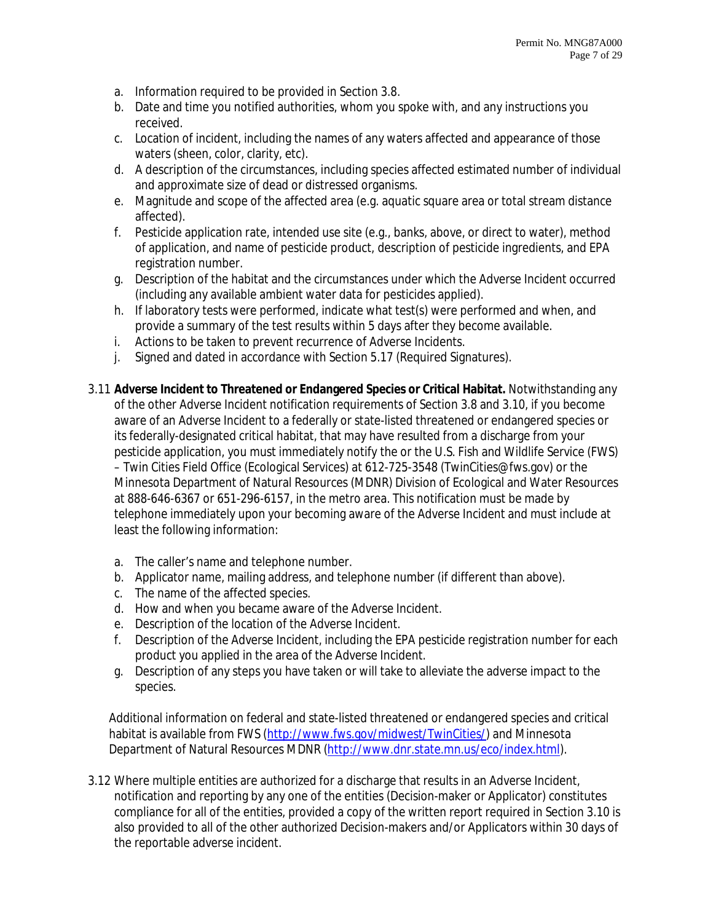- a. Information required to be provided in Section 3.8.
- b. Date and time you notified authorities, whom you spoke with, and any instructions you received.
- c. Location of incident, including the names of any waters affected and appearance of those waters (sheen, color, clarity, etc).
- d. A description of the circumstances, including species affected estimated number of individual and approximate size of dead or distressed organisms.
- e. Magnitude and scope of the affected area (e.g. aquatic square area or total stream distance affected).
- f. Pesticide application rate, intended use site (e.g., banks, above, or direct to water), method of application, and name of pesticide product, description of pesticide ingredients, and EPA registration number.
- g. Description of the habitat and the circumstances under which the Adverse Incident occurred (including any available ambient water data for pesticides applied).
- h. If laboratory tests were performed, indicate what test(s) were performed and when, and provide a summary of the test results within 5 days after they become available.
- i. Actions to be taken to prevent recurrence of Adverse Incidents.
- j. Signed and dated in accordance with Section 5.17 (Required Signatures).
- 3.11 **Adverse Incident to Threatened or Endangered Species or Critical Habitat.** Notwithstanding any of the other Adverse Incident notification requirements of Section 3.8 and 3.10, if you become aware of an Adverse Incident to a federally or state-listed threatened or endangered species or its federally-designated critical habitat, that may have resulted from a discharge from your pesticide application, you must immediately notify the or the U.S. Fish and Wildlife Service (FWS) – Twin Cities Field Office (Ecological Services) at 612-725-3548 (TwinCities@fws.gov) or the Minnesota Department of Natural Resources (MDNR) Division of Ecological and Water Resources at 888-646-6367 or 651-296-6157, in the metro area. This notification must be made by telephone immediately upon your becoming aware of the Adverse Incident and must include at least the following information:
	- a. The caller's name and telephone number.
	- b. Applicator name, mailing address, and telephone number (if different than above).
	- c. The name of the affected species.
	- d. How and when you became aware of the Adverse Incident.
	- e. Description of the location of the Adverse Incident.
	- f. Description of the Adverse Incident, including the EPA pesticide registration number for each product you applied in the area of the Adverse Incident.
	- g. Description of any steps you have taken or will take to alleviate the adverse impact to the species.

Additional information on federal and state-listed threatened or endangered species and critical habitat is available from FWS (http://www.fws.gov/midwest/TwinCities/) and Minnesota Department of Natural Resources MDNR (http://www.dnr.state.mn.us/eco/index.html).

3.12 Where multiple entities are authorized for a discharge that results in an Adverse Incident, notification and reporting by any one of the entities (Decision-maker or Applicator) constitutes compliance for all of the entities, provided a copy of the written report required in Section 3.10 is also provided to all of the other authorized Decision-makers and/or Applicators within 30 days of the reportable adverse incident.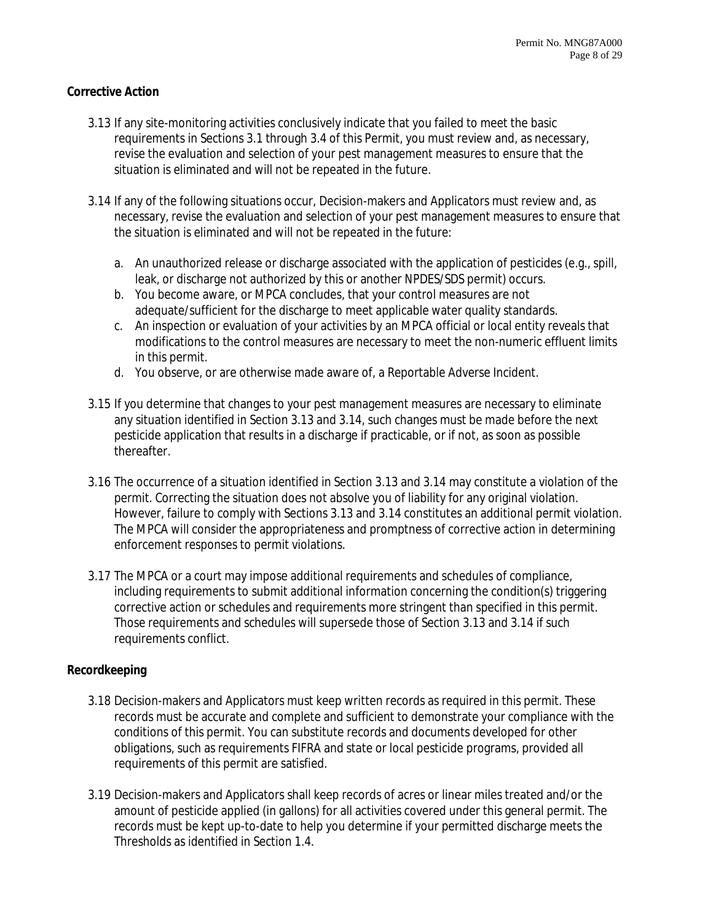#### **Corrective Action**

- 3.13 If any site-monitoring activities conclusively indicate that you failed to meet the basic requirements in Sections 3.1 through 3.4 of this Permit, you must review and, as necessary, revise the evaluation and selection of your pest management measures to ensure that the situation is eliminated and will not be repeated in the future.
- 3.14 If any of the following situations occur, Decision-makers and Applicators must review and, as necessary, revise the evaluation and selection of your pest management measures to ensure that the situation is eliminated and will not be repeated in the future:
	- a. An unauthorized release or discharge associated with the application of pesticides (e.g., spill, leak, or discharge not authorized by this or another NPDES/SDS permit) occurs.
	- b. You become aware, or MPCA concludes, that your control measures are not adequate/sufficient for the discharge to meet applicable water quality standards.
	- c. An inspection or evaluation of your activities by an MPCA official or local entity reveals that modifications to the control measures are necessary to meet the non-numeric effluent limits in this permit.
	- d. You observe, or are otherwise made aware of, a Reportable Adverse Incident.
- 3.15 If you determine that changes to your pest management measures are necessary to eliminate any situation identified in Section 3.13 and 3.14, such changes must be made before the next pesticide application that results in a discharge if practicable, or if not, as soon as possible thereafter.
- 3.16 The occurrence of a situation identified in Section 3.13 and 3.14 may constitute a violation of the permit. Correcting the situation does not absolve you of liability for any original violation. However, failure to comply with Sections 3.13 and 3.14 constitutes an additional permit violation. The MPCA will consider the appropriateness and promptness of corrective action in determining enforcement responses to permit violations.
- 3.17 The MPCA or a court may impose additional requirements and schedules of compliance, including requirements to submit additional information concerning the condition(s) triggering corrective action or schedules and requirements more stringent than specified in this permit. Those requirements and schedules will supersede those of Section 3.13 and 3.14 if such requirements conflict.

#### **Recordkeeping**

- 3.18 Decision-makers and Applicators must keep written records as required in this permit. These records must be accurate and complete and sufficient to demonstrate your compliance with the conditions of this permit. You can substitute records and documents developed for other obligations, such as requirements FIFRA and state or local pesticide programs, provided all requirements of this permit are satisfied.
- 3.19 Decision-makers and Applicators shall keep records of acres or linear miles treated and/or the amount of pesticide applied (in gallons) for all activities covered under this general permit. The records must be kept up-to-date to help you determine if your permitted discharge meets the Thresholds as identified in Section 1.4.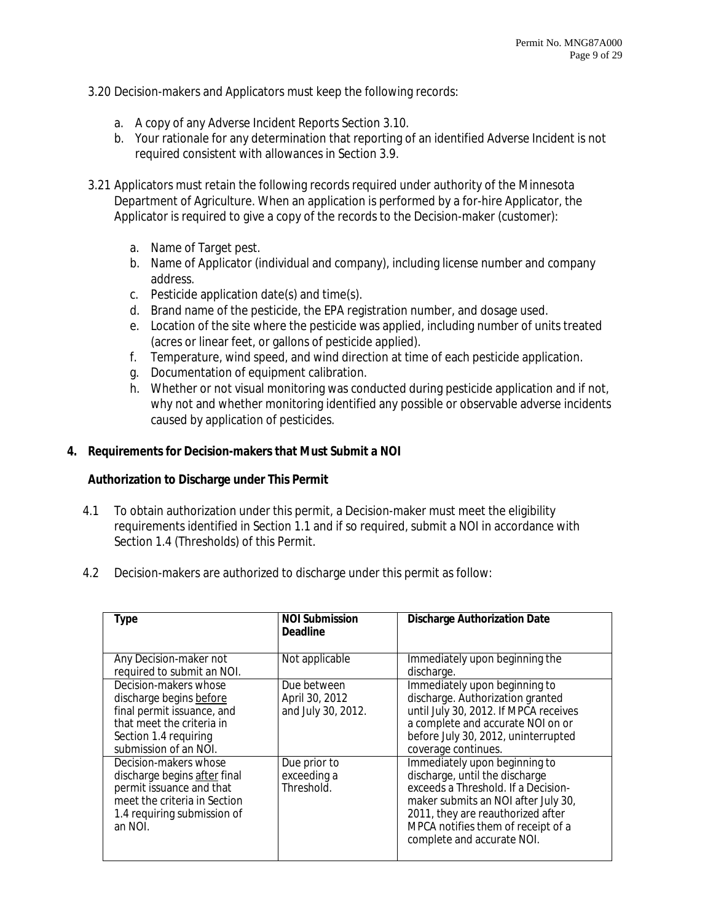- 3.20 Decision-makers and Applicators must keep the following records:
	- a. A copy of any Adverse Incident Reports Section 3.10.
	- b. Your rationale for any determination that reporting of an identified Adverse Incident is not required consistent with allowances in Section 3.9.
- 3.21 Applicators must retain the following records required under authority of the Minnesota Department of Agriculture. When an application is performed by a for-hire Applicator, the Applicator is required to give a copy of the records to the Decision-maker (customer):
	- a. Name of Target pest.
	- b. Name of Applicator (individual and company), including license number and company address.
	- c. Pesticide application date(s) and time(s).
	- d. Brand name of the pesticide, the EPA registration number, and dosage used.
	- e. Location of the site where the pesticide was applied, including number of units treated (acres or linear feet, or gallons of pesticide applied).
	- f. Temperature, wind speed, and wind direction at time of each pesticide application.
	- g. Documentation of equipment calibration.
	- h. Whether or not visual monitoring was conducted during pesticide application and if not, why not and whether monitoring identified any possible or observable adverse incidents caused by application of pesticides.

## **4. Requirements for Decision-makers that Must Submit a NOI**

## **Authorization to Discharge under This Permit**

- 4.1 To obtain authorization under this permit, a Decision-maker must meet the eligibility requirements identified in Section 1.1 and if so required, submit a NOI in accordance with Section 1.4 (Thresholds) of this Permit.
- 4.2 Decision-makers are authorized to discharge under this permit as follow:

| Type                                                                                                                                                          | <b>NOI Submission</b><br><b>Deadline</b>            | <b>Discharge Authorization Date</b>                                                                                                                                                                                                                    |
|---------------------------------------------------------------------------------------------------------------------------------------------------------------|-----------------------------------------------------|--------------------------------------------------------------------------------------------------------------------------------------------------------------------------------------------------------------------------------------------------------|
| Any Decision-maker not<br>required to submit an NOI.                                                                                                          | Not applicable                                      | Immediately upon beginning the<br>discharge.                                                                                                                                                                                                           |
| Decision-makers whose<br>discharge begins before<br>final permit issuance, and<br>that meet the criteria in<br>Section 1.4 requiring<br>submission of an NOI. | Due between<br>April 30, 2012<br>and July 30, 2012. | Immediately upon beginning to<br>discharge. Authorization granted<br>until July 30, 2012. If MPCA receives<br>a complete and accurate NOI on or<br>before July 30, 2012, uninterrupted<br>coverage continues.                                          |
| Decision-makers whose<br>discharge begins after final<br>permit issuance and that<br>meet the criteria in Section<br>1.4 requiring submission of<br>an NOI.   | Due prior to<br>exceeding a<br>Threshold.           | Immediately upon beginning to<br>discharge, until the discharge<br>exceeds a Threshold. If a Decision-<br>maker submits an NOI after July 30,<br>2011, they are reauthorized after<br>MPCA notifies them of receipt of a<br>complete and accurate NOI. |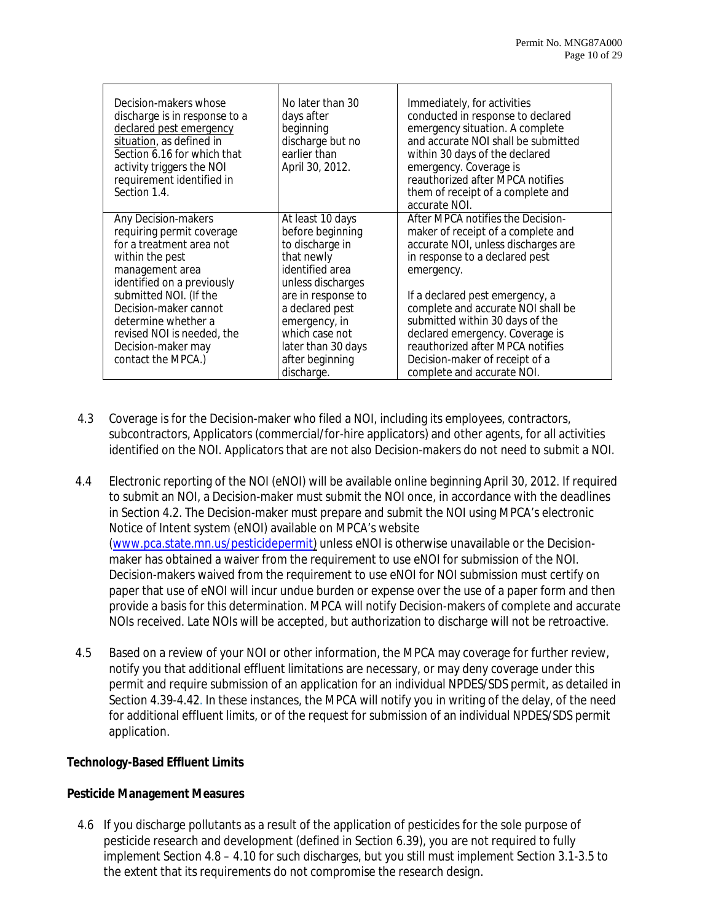| Decision-makers whose<br>discharge is in response to a<br>declared pest emergency<br>situation, as defined in<br>Section 6.16 for which that<br>activity triggers the NOI<br>requirement identified in<br>Section 1.4.                                                                               | No later than 30<br>days after<br>beginning<br>discharge but no<br>earlier than<br>April 30, 2012.                                                                                                                                               | Immediately, for activities<br>conducted in response to declared<br>emergency situation. A complete<br>and accurate NOI shall be submitted<br>within 30 days of the declared<br>emergency. Coverage is<br>reauthorized after MPCA notifies<br>them of receipt of a complete and<br>accurate NOI.                                                                                                                  |
|------------------------------------------------------------------------------------------------------------------------------------------------------------------------------------------------------------------------------------------------------------------------------------------------------|--------------------------------------------------------------------------------------------------------------------------------------------------------------------------------------------------------------------------------------------------|-------------------------------------------------------------------------------------------------------------------------------------------------------------------------------------------------------------------------------------------------------------------------------------------------------------------------------------------------------------------------------------------------------------------|
| Any Decision-makers<br>requiring permit coverage<br>for a treatment area not<br>within the pest<br>management area<br>identified on a previously<br>submitted NOI. (If the<br>Decision-maker cannot<br>determine whether a<br>revised NOI is needed, the<br>Decision-maker may<br>contact the MPCA.) | At least 10 days<br>before beginning<br>to discharge in<br>that newly<br>identified area<br>unless discharges<br>are in response to<br>a declared pest<br>emergency, in<br>which case not<br>later than 30 days<br>after beginning<br>discharge. | After MPCA notifies the Decision-<br>maker of receipt of a complete and<br>accurate NOI, unless discharges are<br>in response to a declared pest<br>emergency.<br>If a declared pest emergency, a<br>complete and accurate NOI shall be<br>submitted within 30 days of the<br>declared emergency. Coverage is<br>reauthorized after MPCA notifies<br>Decision-maker of receipt of a<br>complete and accurate NOI. |

- 4.3 Coverage is for the Decision-maker who filed a NOI, including its employees, contractors, subcontractors, Applicators (commercial/for-hire applicators) and other agents, for all activities identified on the NOI. Applicators that are not also Decision-makers do not need to submit a NOI.
- 4.4 Electronic reporting of the NOI (eNOI) will be available online beginning April 30, 2012. If required to submit an NOI, a Decision-maker must submit the NOI once, in accordance with the deadlines in Section 4.2. The Decision-maker must prepare and submit the NOI using MPCA's electronic Notice of Intent system (eNOI) available on MPCA's website (www.pca.state.mn.us/pesticidepermit) unless eNOI is otherwise unavailable or the Decisionmaker has obtained a waiver from the requirement to use eNOI for submission of the NOI. Decision-makers waived from the requirement to use eNOI for NOI submission must certify on paper that use of eNOI will incur undue burden or expense over the use of a paper form and then provide a basis for this determination. MPCA will notify Decision-makers of complete and accurate NOIs received. Late NOIs will be accepted, but authorization to discharge will not be retroactive.
- 4.5 Based on a review of your NOI or other information, the MPCA may coverage for further review, notify you that additional effluent limitations are necessary, or may deny coverage under this permit and require submission of an application for an individual NPDES/SDS permit, as detailed in Section 4.39-4.42. In these instances, the MPCA will notify you in writing of the delay, of the need for additional effluent limits, or of the request for submission of an individual NPDES/SDS permit application.

## **Technology-Based Effluent Limits**

# **Pesticide Management Measures**

4.6 If you discharge pollutants as a result of the application of pesticides for the sole purpose of pesticide research and development (defined in Section 6.39), you are not required to fully implement Section 4.8 – 4.10 for such discharges, but you still must implement Section 3.1-3.5 to the extent that its requirements do not compromise the research design.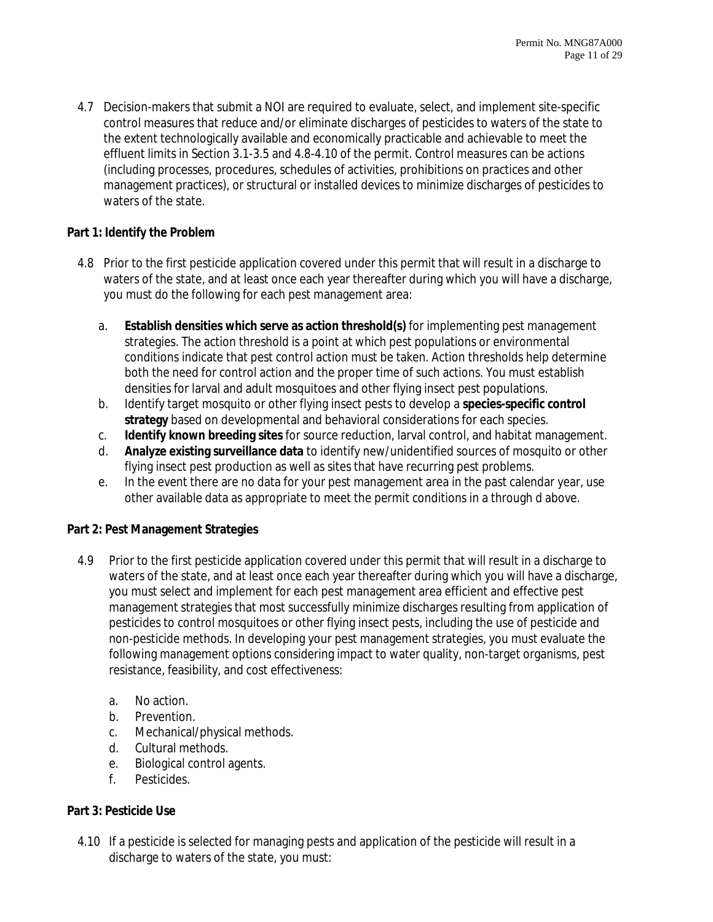4.7 Decision-makers that submit a NOI are required to evaluate, select, and implement site-specific control measures that reduce and/or eliminate discharges of pesticides to waters of the state to the extent technologically available and economically practicable and achievable to meet the effluent limits in Section 3.1-3.5 and 4.8-4.10 of the permit. Control measures can be actions (including processes, procedures, schedules of activities, prohibitions on practices and other management practices), or structural or installed devices to minimize discharges of pesticides to waters of the state.

## **Part 1: Identify the Problem**

- 4.8 Prior to the first pesticide application covered under this permit that will result in a discharge to waters of the state, and at least once each year thereafter during which you will have a discharge, you must do the following for each pest management area:
	- a. **Establish densities which serve as action threshold(s)** for implementing pest management strategies. The action threshold is a point at which pest populations or environmental conditions indicate that pest control action must be taken. Action thresholds help determine both the need for control action and the proper time of such actions. You must establish densities for larval and adult mosquitoes and other flying insect pest populations.
	- b. Identify target mosquito or other flying insect pests to develop a **species-specific control strategy** based on developmental and behavioral considerations for each species.
	- c. **Identify known breeding sites** for source reduction, larval control, and habitat management.
	- d. **Analyze existing surveillance data** to identify new/unidentified sources of mosquito or other flying insect pest production as well as sites that have recurring pest problems.
	- e. In the event there are no data for your pest management area in the past calendar year, use other available data as appropriate to meet the permit conditions in a through d above.

# **Part 2: Pest Management Strategies**

- 4.9 Prior to the first pesticide application covered under this permit that will result in a discharge to waters of the state, and at least once each year thereafter during which you will have a discharge, you must select and implement for each pest management area efficient and effective pest management strategies that most successfully minimize discharges resulting from application of pesticides to control mosquitoes or other flying insect pests, including the use of pesticide and non-pesticide methods. In developing your pest management strategies, you must evaluate the following management options considering impact to water quality, non-target organisms, pest resistance, feasibility, and cost effectiveness:
	- a. No action.
	- b. Prevention.
	- c. Mechanical/physical methods.
	- d. Cultural methods.
	- e. Biological control agents.
	- f. Pesticides.

# **Part 3: Pesticide Use**

4.10 If a pesticide is selected for managing pests and application of the pesticide will result in a discharge to waters of the state, you must: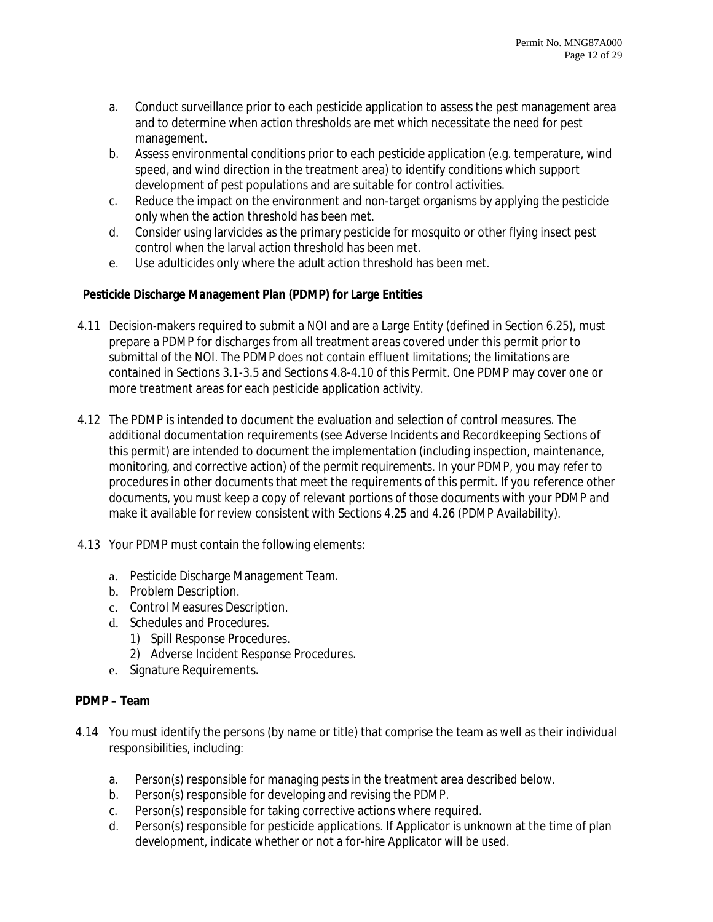- a. Conduct surveillance prior to each pesticide application to assess the pest management area and to determine when action thresholds are met which necessitate the need for pest management.
- b. Assess environmental conditions prior to each pesticide application (e.g. temperature, wind speed, and wind direction in the treatment area) to identify conditions which support development of pest populations and are suitable for control activities.
- c. Reduce the impact on the environment and non-target organisms by applying the pesticide only when the action threshold has been met.
- d. Consider using larvicides as the primary pesticide for mosquito or other flying insect pest control when the larval action threshold has been met.
- e. Use adulticides only where the adult action threshold has been met.

# **Pesticide Discharge Management Plan (PDMP) for Large Entities**

- 4.11 Decision-makers required to submit a NOI and are a Large Entity (defined in Section 6.25), must prepare a PDMP for discharges from all treatment areas covered under this permit prior to submittal of the NOI. The PDMP does not contain effluent limitations; the limitations are contained in Sections 3.1-3.5 and Sections 4.8-4.10 of this Permit. One PDMP may cover one or more treatment areas for each pesticide application activity.
- 4.12 The PDMP is intended to document the evaluation and selection of control measures. The additional documentation requirements (see Adverse Incidents and Recordkeeping Sections of this permit) are intended to document the implementation (including inspection, maintenance, monitoring, and corrective action) of the permit requirements. In your PDMP, you may refer to procedures in other documents that meet the requirements of this permit. If you reference other documents, you must keep a copy of relevant portions of those documents with your PDMP and make it available for review consistent with Sections 4.25 and 4.26 (PDMP Availability).
- 4.13 Your PDMP must contain the following elements:
	- a. Pesticide Discharge Management Team.
	- b. Problem Description.
	- c. Control Measures Description.
	- d. Schedules and Procedures.
		- 1) Spill Response Procedures.
		- 2) Adverse Incident Response Procedures.
	- e. Signature Requirements.

## **PDMP – Team**

- 4.14 You must identify the persons (by name or title) that comprise the team as well as their individual responsibilities, including:
	- a. Person(s) responsible for managing pests in the treatment area described below.
	- b. Person(s) responsible for developing and revising the PDMP.
	- c. Person(s) responsible for taking corrective actions where required.
	- d. Person(s) responsible for pesticide applications. If Applicator is unknown at the time of plan development, indicate whether or not a for-hire Applicator will be used.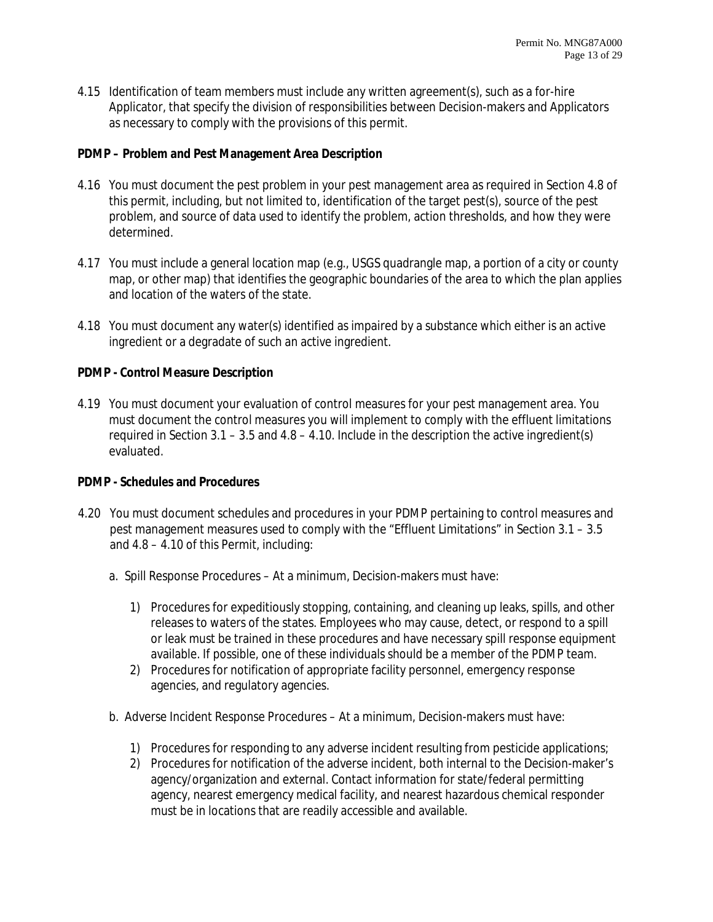4.15 Identification of team members must include any written agreement(s), such as a for-hire Applicator, that specify the division of responsibilities between Decision-makers and Applicators as necessary to comply with the provisions of this permit.

## **PDMP – Problem and Pest Management Area Description**

- 4.16 You must document the pest problem in your pest management area as required in Section 4.8 of this permit, including, but not limited to, identification of the target pest(s), source of the pest problem, and source of data used to identify the problem, action thresholds, and how they were determined.
- 4.17 You must include a general location map (e.g., USGS quadrangle map, a portion of a city or county map, or other map) that identifies the geographic boundaries of the area to which the plan applies and location of the waters of the state.
- 4.18 You must document any water(s) identified as impaired by a substance which either is an active ingredient or a degradate of such an active ingredient.

#### **PDMP - Control Measure Description**

4.19 You must document your evaluation of control measures for your pest management area. You must document the control measures you will implement to comply with the effluent limitations required in Section 3.1 – 3.5 and 4.8 – 4.10. Include in the description the active ingredient(s) evaluated.

#### **PDMP - Schedules and Procedures**

- 4.20 You must document schedules and procedures in your PDMP pertaining to control measures and pest management measures used to comply with the "Effluent Limitations" in Section 3.1 – 3.5 and 4.8 – 4.10 of this Permit, including:
	- a. Spill Response Procedures At a minimum, Decision-makers must have:
		- 1) Procedures for expeditiously stopping, containing, and cleaning up leaks, spills, and other releases to waters of the states. Employees who may cause, detect, or respond to a spill or leak must be trained in these procedures and have necessary spill response equipment available. If possible, one of these individuals should be a member of the PDMP team.
		- 2) Procedures for notification of appropriate facility personnel, emergency response agencies, and regulatory agencies.
	- b. Adverse Incident Response Procedures At a minimum, Decision-makers must have:
		- 1) Procedures for responding to any adverse incident resulting from pesticide applications;
		- 2) Procedures for notification of the adverse incident, both internal to the Decision-maker's agency/organization and external. Contact information for state/federal permitting agency, nearest emergency medical facility, and nearest hazardous chemical responder must be in locations that are readily accessible and available.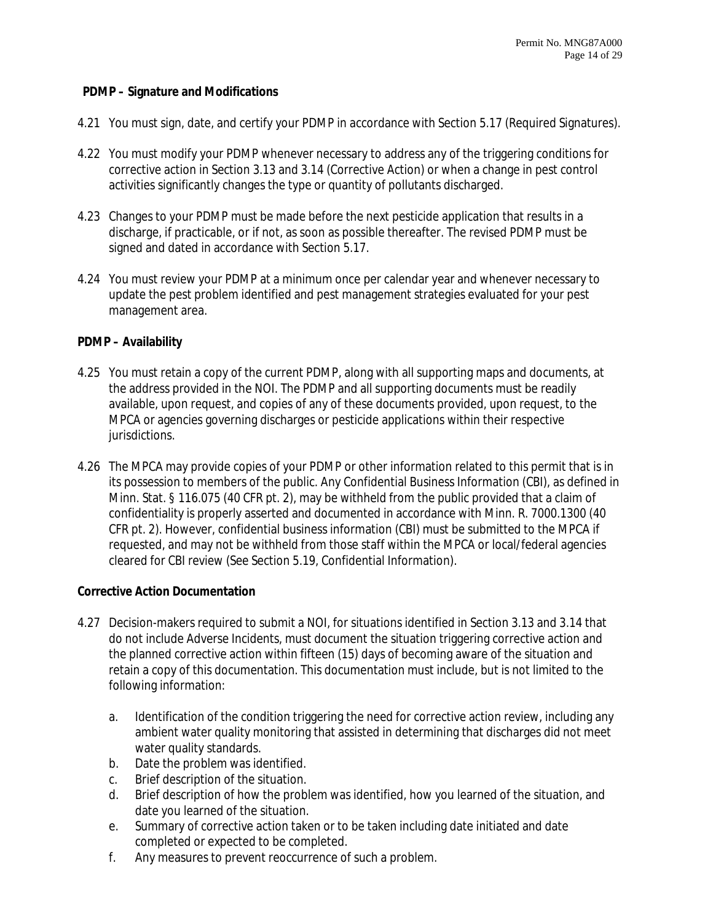## **PDMP – Signature and Modifications**

- 4.21 You must sign, date, and certify your PDMP in accordance with Section 5.17 (Required Signatures).
- 4.22 You must modify your PDMP whenever necessary to address any of the triggering conditions for corrective action in Section 3.13 and 3.14 (Corrective Action) or when a change in pest control activities significantly changes the type or quantity of pollutants discharged.
- 4.23 Changes to your PDMP must be made before the next pesticide application that results in a discharge, if practicable, or if not, as soon as possible thereafter. The revised PDMP must be signed and dated in accordance with Section 5.17.
- 4.24 You must review your PDMP at a minimum once per calendar year and whenever necessary to update the pest problem identified and pest management strategies evaluated for your pest management area.

## **PDMP – Availability**

- 4.25 You must retain a copy of the current PDMP, along with all supporting maps and documents, at the address provided in the NOI. The PDMP and all supporting documents must be readily available, upon request, and copies of any of these documents provided, upon request, to the MPCA or agencies governing discharges or pesticide applications within their respective jurisdictions.
- 4.26 The MPCA may provide copies of your PDMP or other information related to this permit that is in its possession to members of the public. Any Confidential Business Information (CBI), as defined in Minn. Stat. § 116.075 (40 CFR pt. 2), may be withheld from the public provided that a claim of confidentiality is properly asserted and documented in accordance with Minn. R. 7000.1300 (40 CFR pt. 2). However, confidential business information (CBI) must be submitted to the MPCA if requested, and may not be withheld from those staff within the MPCA or local/federal agencies cleared for CBI review (See Section 5.19, Confidential Information).

## **Corrective Action Documentation**

- 4.27 Decision-makers required to submit a NOI, for situations identified in Section 3.13 and 3.14 that do not include Adverse Incidents, must document the situation triggering corrective action and the planned corrective action within fifteen (15) days of becoming aware of the situation and retain a copy of this documentation. This documentation must include, but is not limited to the following information:
	- a. Identification of the condition triggering the need for corrective action review, including any ambient water quality monitoring that assisted in determining that discharges did not meet water quality standards.
	- b. Date the problem was identified.
	- c. Brief description of the situation.
	- d. Brief description of how the problem was identified, how you learned of the situation, and date you learned of the situation.
	- e. Summary of corrective action taken or to be taken including date initiated and date completed or expected to be completed.
	- f. Any measures to prevent reoccurrence of such a problem.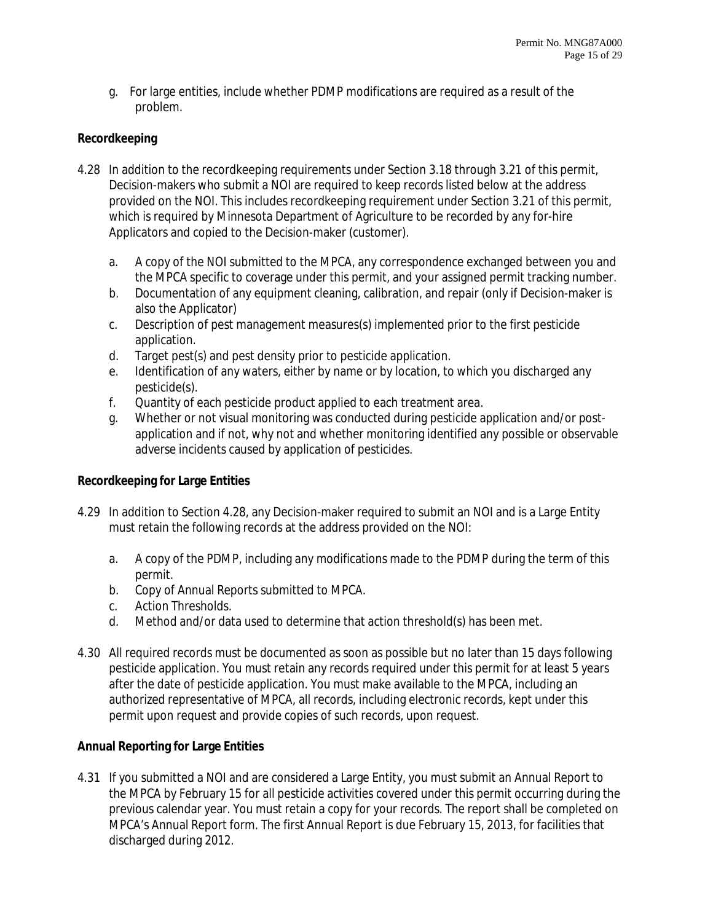g. For large entities, include whether PDMP modifications are required as a result of the problem.

## **Recordkeeping**

- 4.28 In addition to the recordkeeping requirements under Section 3.18 through 3.21 of this permit, Decision-makers who submit a NOI are required to keep records listed below at the address provided on the NOI. This includes recordkeeping requirement under Section 3.21 of this permit, which is required by Minnesota Department of Agriculture to be recorded by any for-hire Applicators and copied to the Decision-maker (customer).
	- a. A copy of the NOI submitted to the MPCA, any correspondence exchanged between you and the MPCA specific to coverage under this permit, and your assigned permit tracking number.
	- b. Documentation of any equipment cleaning, calibration, and repair (only if Decision-maker is also the Applicator)
	- c. Description of pest management measures(s) implemented prior to the first pesticide application.
	- d. Target pest(s) and pest density prior to pesticide application.
	- e. Identification of any waters, either by name or by location, to which you discharged any pesticide(s).
	- f. Quantity of each pesticide product applied to each treatment area.
	- g. Whether or not visual monitoring was conducted during pesticide application and/or postapplication and if not, why not and whether monitoring identified any possible or observable adverse incidents caused by application of pesticides.

## **Recordkeeping for Large Entities**

- 4.29 In addition to Section 4.28, any Decision-maker required to submit an NOI and is a Large Entity must retain the following records at the address provided on the NOI:
	- a. A copy of the PDMP, including any modifications made to the PDMP during the term of this permit.
	- b. Copy of Annual Reports submitted to MPCA.
	- c. Action Thresholds.
	- d. Method and/or data used to determine that action threshold(s) has been met.
- 4.30 All required records must be documented as soon as possible but no later than 15 days following pesticide application. You must retain any records required under this permit for at least 5 years after the date of pesticide application. You must make available to the MPCA, including an authorized representative of MPCA, all records, including electronic records, kept under this permit upon request and provide copies of such records, upon request.

## **Annual Reporting for Large Entities**

4.31 If you submitted a NOI and are considered a Large Entity, you must submit an Annual Report to the MPCA by February 15 for all pesticide activities covered under this permit occurring during the previous calendar year. You must retain a copy for your records. The report shall be completed on MPCA's Annual Report form. The first Annual Report is due February 15, 2013, for facilities that discharged during 2012.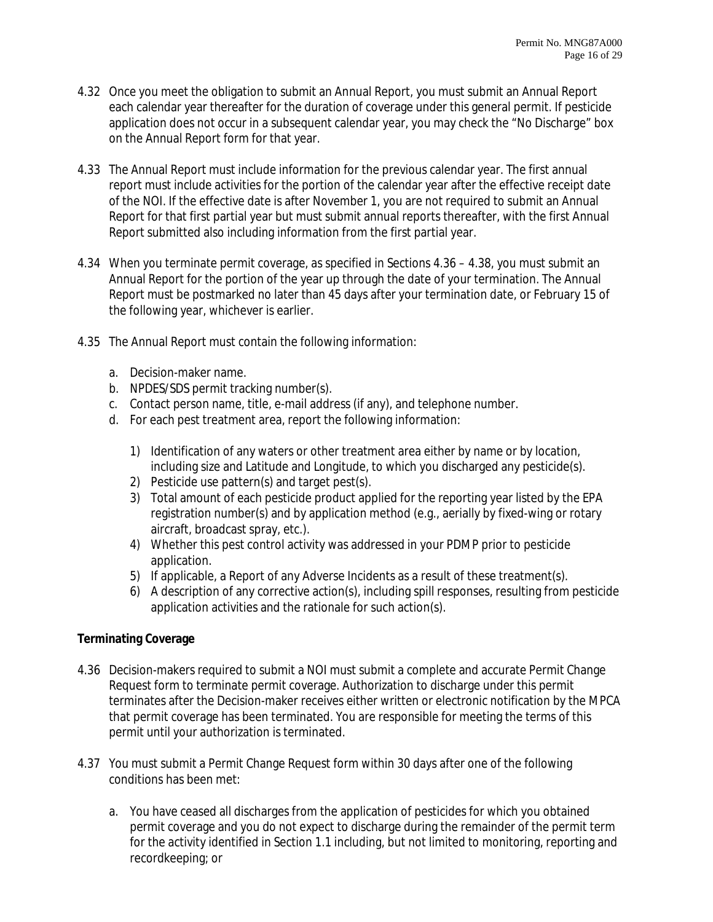- 4.32 Once you meet the obligation to submit an Annual Report, you must submit an Annual Report each calendar year thereafter for the duration of coverage under this general permit. If pesticide application does not occur in a subsequent calendar year, you may check the "No Discharge" box on the Annual Report form for that year.
- 4.33 The Annual Report must include information for the previous calendar year. The first annual report must include activities for the portion of the calendar year after the effective receipt date of the NOI. If the effective date is after November 1, you are not required to submit an Annual Report for that first partial year but must submit annual reports thereafter, with the first Annual Report submitted also including information from the first partial year.
- 4.34 When you terminate permit coverage, as specified in Sections 4.36 4.38, you must submit an Annual Report for the portion of the year up through the date of your termination. The Annual Report must be postmarked no later than 45 days after your termination date, or February 15 of the following year, whichever is earlier.
- 4.35 The Annual Report must contain the following information:
	- a. Decision-maker name.
	- b. NPDES/SDS permit tracking number(s).
	- c. Contact person name, title, e-mail address (if any), and telephone number.
	- d. For each pest treatment area, report the following information:
		- 1) Identification of any waters or other treatment area either by name or by location, including size and Latitude and Longitude, to which you discharged any pesticide(s).
		- 2) Pesticide use pattern(s) and target pest(s).
		- 3) Total amount of each pesticide product applied for the reporting year listed by the EPA registration number(s) and by application method (e.g., aerially by fixed-wing or rotary aircraft, broadcast spray, etc.).
		- 4) Whether this pest control activity was addressed in your PDMP prior to pesticide application.
		- 5) If applicable, a Report of any Adverse Incidents as a result of these treatment(s).
		- 6) A description of any corrective action(s), including spill responses, resulting from pesticide application activities and the rationale for such action(s).

# **Terminating Coverage**

- 4.36 Decision-makers required to submit a NOI must submit a complete and accurate Permit Change Request form to terminate permit coverage. Authorization to discharge under this permit terminates after the Decision-maker receives either written or electronic notification by the MPCA that permit coverage has been terminated. You are responsible for meeting the terms of this permit until your authorization is terminated.
- 4.37 You must submit a Permit Change Request form within 30 days after one of the following conditions has been met:
	- a. You have ceased all discharges from the application of pesticides for which you obtained permit coverage and you do not expect to discharge during the remainder of the permit term for the activity identified in Section 1.1 including, but not limited to monitoring, reporting and recordkeeping; or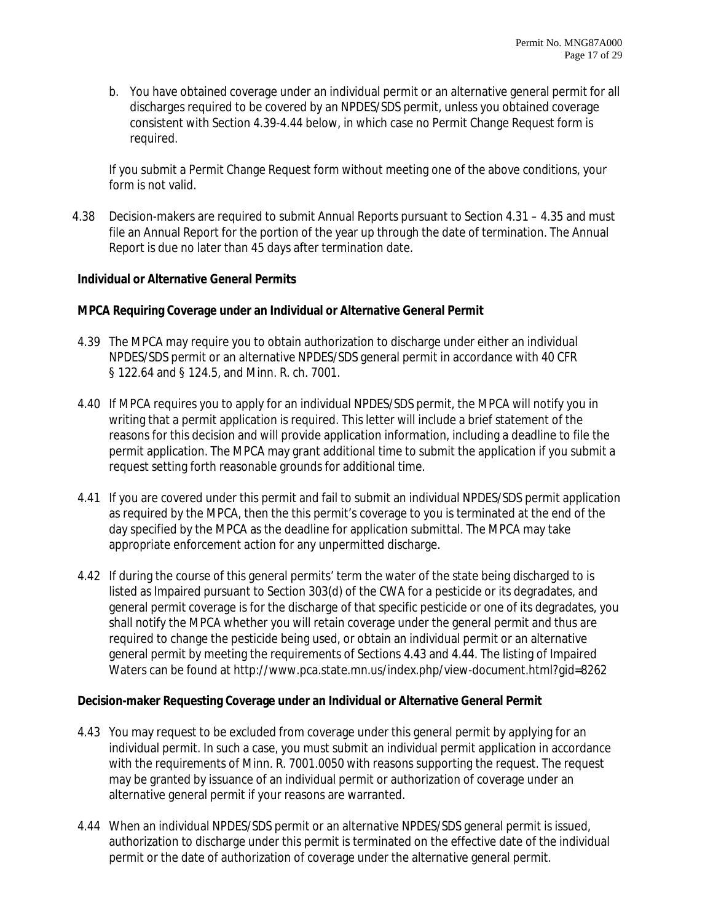b. You have obtained coverage under an individual permit or an alternative general permit for all discharges required to be covered by an NPDES/SDS permit, unless you obtained coverage consistent with Section 4.39-4.44 below, in which case no Permit Change Request form is required.

If you submit a Permit Change Request form without meeting one of the above conditions, your form is not valid.

4.38 Decision-makers are required to submit Annual Reports pursuant to Section 4.31 – 4.35 and must file an Annual Report for the portion of the year up through the date of termination. The Annual Report is due no later than 45 days after termination date.

## **Individual or Alternative General Permits**

## **MPCA Requiring Coverage under an Individual or Alternative General Permit**

- 4.39 The MPCA may require you to obtain authorization to discharge under either an individual NPDES/SDS permit or an alternative NPDES/SDS general permit in accordance with 40 CFR § 122.64 and § 124.5, and Minn. R. ch. 7001.
- 4.40 If MPCA requires you to apply for an individual NPDES/SDS permit, the MPCA will notify you in writing that a permit application is required. This letter will include a brief statement of the reasons for this decision and will provide application information, including a deadline to file the permit application. The MPCA may grant additional time to submit the application if you submit a request setting forth reasonable grounds for additional time.
- 4.41 If you are covered under this permit and fail to submit an individual NPDES/SDS permit application as required by the MPCA, then the this permit's coverage to you is terminated at the end of the day specified by the MPCA as the deadline for application submittal. The MPCA may take appropriate enforcement action for any unpermitted discharge.
- 4.42 If during the course of this general permits' term the water of the state being discharged to is listed as Impaired pursuant to Section 303(d) of the CWA for a pesticide or its degradates, and general permit coverage is for the discharge of that specific pesticide or one of its degradates, you shall notify the MPCA whether you will retain coverage under the general permit and thus are required to change the pesticide being used, or obtain an individual permit or an alternative general permit by meeting the requirements of Sections 4.43 and 4.44. The listing of Impaired Waters can be found at http://www.pca.state.mn.us/index.php/view-document.html?gid=8262

## **Decision-maker Requesting Coverage under an Individual or Alternative General Permit**

- 4.43 You may request to be excluded from coverage under this general permit by applying for an individual permit. In such a case, you must submit an individual permit application in accordance with the requirements of Minn. R. 7001.0050 with reasons supporting the request. The request may be granted by issuance of an individual permit or authorization of coverage under an alternative general permit if your reasons are warranted.
- 4.44 When an individual NPDES/SDS permit or an alternative NPDES/SDS general permit is issued, authorization to discharge under this permit is terminated on the effective date of the individual permit or the date of authorization of coverage under the alternative general permit.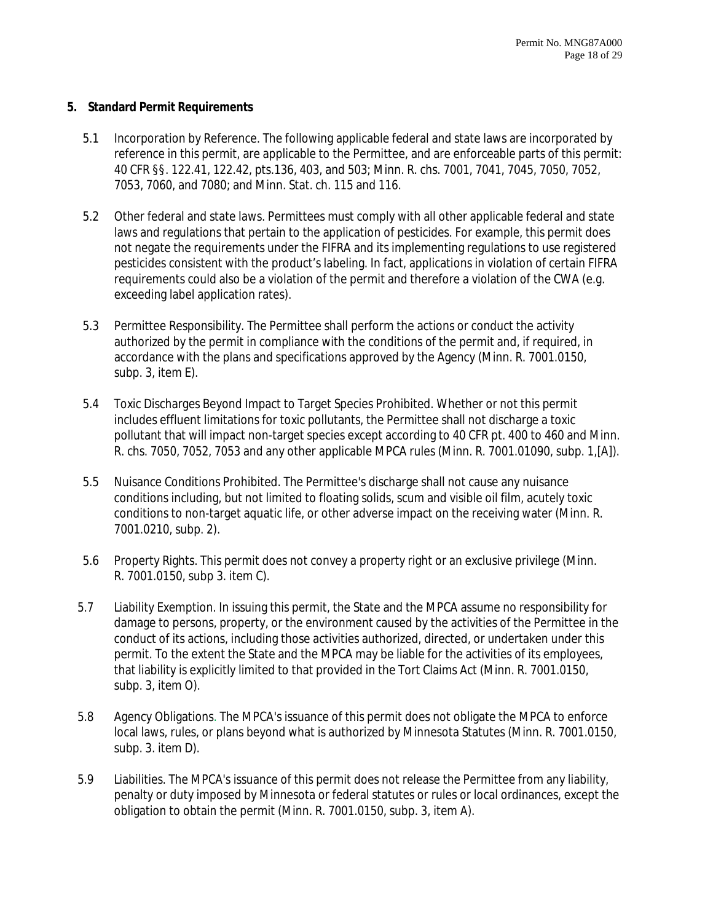#### **5. Standard Permit Requirements**

- 5.1 Incorporation by Reference. The following applicable federal and state laws are incorporated by reference in this permit, are applicable to the Permittee, and are enforceable parts of this permit: 40 CFR §§. 122.41, 122.42, pts.136, 403, and 503; Minn. R. chs. 7001, 7041, 7045, 7050, 7052, 7053, 7060, and 7080; and Minn. Stat. ch. 115 and 116.
- 5.2 Other federal and state laws. Permittees must comply with all other applicable federal and state laws and regulations that pertain to the application of pesticides. For example, this permit does not negate the requirements under the FIFRA and its implementing regulations to use registered pesticides consistent with the product's labeling. In fact, applications in violation of certain FIFRA requirements could also be a violation of the permit and therefore a violation of the CWA (e.g. exceeding label application rates).
- 5.3 Permittee Responsibility. The Permittee shall perform the actions or conduct the activity authorized by the permit in compliance with the conditions of the permit and, if required, in accordance with the plans and specifications approved by the Agency (Minn. R. 7001.0150, subp. 3, item E).
- 5.4 Toxic Discharges Beyond Impact to Target Species Prohibited. Whether or not this permit includes effluent limitations for toxic pollutants, the Permittee shall not discharge a toxic pollutant that will impact non-target species except according to 40 CFR pt. 400 to 460 and Minn. R. chs. 7050, 7052, 7053 and any other applicable MPCA rules (Minn. R. 7001.01090, subp. 1,[A]).
- 5.5 Nuisance Conditions Prohibited. The Permittee's discharge shall not cause any nuisance conditions including, but not limited to floating solids, scum and visible oil film, acutely toxic conditions to non-target aquatic life, or other adverse impact on the receiving water (Minn. R. 7001.0210, subp. 2).
- 5.6 Property Rights. This permit does not convey a property right or an exclusive privilege (Minn. R. 7001.0150, subp 3. item C).
- 5.7 Liability Exemption. In issuing this permit, the State and the MPCA assume no responsibility for damage to persons, property, or the environment caused by the activities of the Permittee in the conduct of its actions, including those activities authorized, directed, or undertaken under this permit. To the extent the State and the MPCA may be liable for the activities of its employees, that liability is explicitly limited to that provided in the Tort Claims Act (Minn. R. 7001.0150, subp. 3, item O).
- 5.8 Agency Obligations. The MPCA's issuance of this permit does not obligate the MPCA to enforce local laws, rules, or plans beyond what is authorized by Minnesota Statutes (Minn. R. 7001.0150, subp. 3. item D).
- 5.9 Liabilities. The MPCA's issuance of this permit does not release the Permittee from any liability, penalty or duty imposed by Minnesota or federal statutes or rules or local ordinances, except the obligation to obtain the permit (Minn. R. 7001.0150, subp. 3, item A).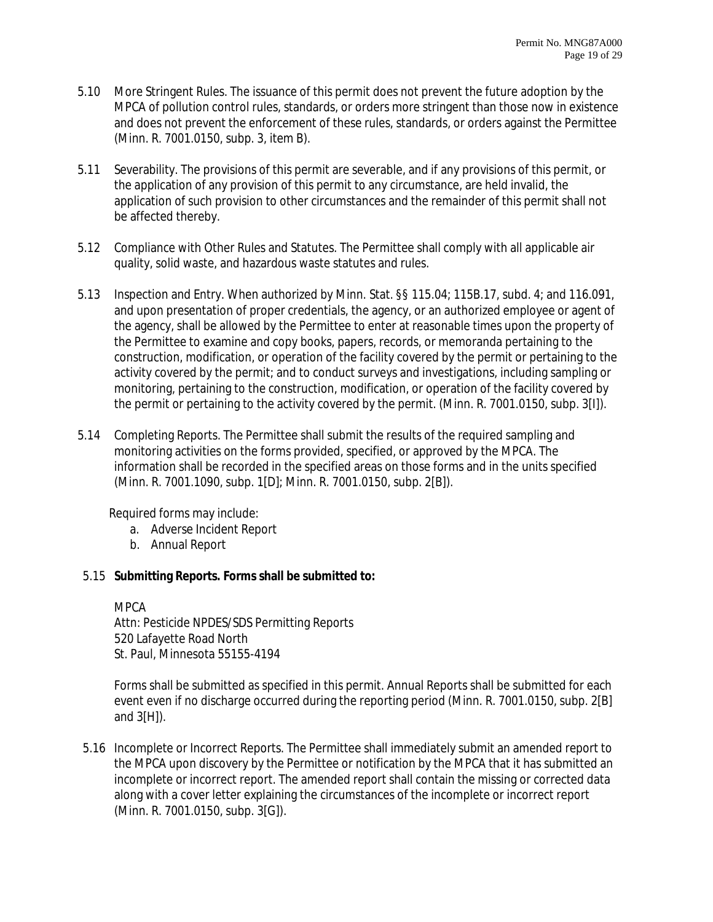- 5.10 More Stringent Rules. The issuance of this permit does not prevent the future adoption by the MPCA of pollution control rules, standards, or orders more stringent than those now in existence and does not prevent the enforcement of these rules, standards, or orders against the Permittee (Minn. R. 7001.0150, subp. 3, item B).
- 5.11 Severability. The provisions of this permit are severable, and if any provisions of this permit, or the application of any provision of this permit to any circumstance, are held invalid, the application of such provision to other circumstances and the remainder of this permit shall not be affected thereby.
- 5.12 Compliance with Other Rules and Statutes. The Permittee shall comply with all applicable air quality, solid waste, and hazardous waste statutes and rules.
- 5.13 Inspection and Entry. When authorized by Minn. Stat. §§ 115.04; 115B.17, subd. 4; and 116.091, and upon presentation of proper credentials, the agency, or an authorized employee or agent of the agency, shall be allowed by the Permittee to enter at reasonable times upon the property of the Permittee to examine and copy books, papers, records, or memoranda pertaining to the construction, modification, or operation of the facility covered by the permit or pertaining to the activity covered by the permit; and to conduct surveys and investigations, including sampling or monitoring, pertaining to the construction, modification, or operation of the facility covered by the permit or pertaining to the activity covered by the permit. (Minn. R. 7001.0150, subp. 3[I]).
- 5.14 Completing Reports. The Permittee shall submit the results of the required sampling and monitoring activities on the forms provided, specified, or approved by the MPCA. The information shall be recorded in the specified areas on those forms and in the units specified (Minn. R. 7001.1090, subp. 1[D]; Minn. R. 7001.0150, subp. 2[B]).

Required forms may include:

- a. Adverse Incident Report
- b. Annual Report

## 5.15 **Submitting Reports. Forms shall be submitted to:**

MPCA

Attn: Pesticide NPDES/SDS Permitting Reports 520 Lafayette Road North St. Paul, Minnesota 55155-4194

Forms shall be submitted as specified in this permit. Annual Reports shall be submitted for each event even if no discharge occurred during the reporting period (Minn. R. 7001.0150, subp. 2[B] and 3[H]).

5.16 Incomplete or Incorrect Reports. The Permittee shall immediately submit an amended report to the MPCA upon discovery by the Permittee or notification by the MPCA that it has submitted an incomplete or incorrect report. The amended report shall contain the missing or corrected data along with a cover letter explaining the circumstances of the incomplete or incorrect report (Minn. R. 7001.0150, subp. 3[G]).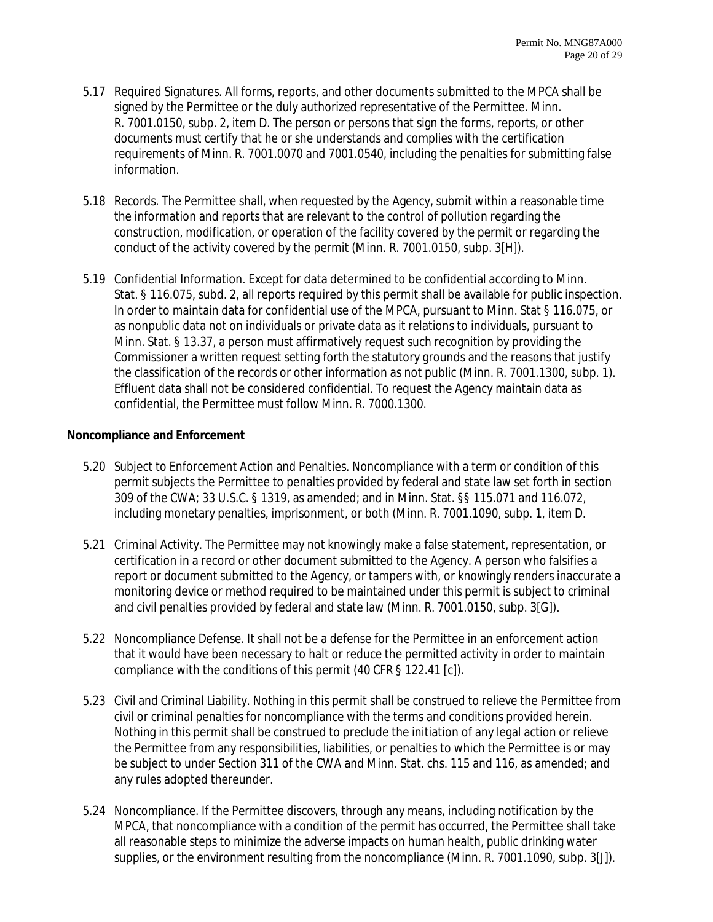- 5.17 Required Signatures. All forms, reports, and other documents submitted to the MPCA shall be signed by the Permittee or the duly authorized representative of the Permittee. Minn. R. 7001.0150, subp. 2, item D. The person or persons that sign the forms, reports, or other documents must certify that he or she understands and complies with the certification requirements of Minn. R. 7001.0070 and 7001.0540, including the penalties for submitting false information.
- 5.18 Records. The Permittee shall, when requested by the Agency, submit within a reasonable time the information and reports that are relevant to the control of pollution regarding the construction, modification, or operation of the facility covered by the permit or regarding the conduct of the activity covered by the permit (Minn. R. 7001.0150, subp. 3[H]).
- 5.19 Confidential Information. Except for data determined to be confidential according to Minn. Stat. § 116.075, subd. 2, all reports required by this permit shall be available for public inspection. In order to maintain data for confidential use of the MPCA, pursuant to Minn. Stat § 116.075, or as nonpublic data not on individuals or private data as it relations to individuals, pursuant to Minn. Stat. § 13.37, a person must affirmatively request such recognition by providing the Commissioner a written request setting forth the statutory grounds and the reasons that justify the classification of the records or other information as not public (Minn. R. 7001.1300, subp. 1). Effluent data shall not be considered confidential. To request the Agency maintain data as confidential, the Permittee must follow Minn. R. 7000.1300.

## **Noncompliance and Enforcement**

- 5.20 Subject to Enforcement Action and Penalties. Noncompliance with a term or condition of this permit subjects the Permittee to penalties provided by federal and state law set forth in section 309 of the CWA; 33 U.S.C. § 1319, as amended; and in Minn. Stat. §§ 115.071 and 116.072, including monetary penalties, imprisonment, or both (Minn. R. 7001.1090, subp. 1, item D.
- 5.21 Criminal Activity. The Permittee may not knowingly make a false statement, representation, or certification in a record or other document submitted to the Agency. A person who falsifies a report or document submitted to the Agency, or tampers with, or knowingly renders inaccurate a monitoring device or method required to be maintained under this permit is subject to criminal and civil penalties provided by federal and state law (Minn. R. 7001.0150, subp. 3[G]).
- 5.22 Noncompliance Defense. It shall not be a defense for the Permittee in an enforcement action that it would have been necessary to halt or reduce the permitted activity in order to maintain compliance with the conditions of this permit (40 CFR § 122.41 [c]).
- 5.23 Civil and Criminal Liability. Nothing in this permit shall be construed to relieve the Permittee from civil or criminal penalties for noncompliance with the terms and conditions provided herein. Nothing in this permit shall be construed to preclude the initiation of any legal action or relieve the Permittee from any responsibilities, liabilities, or penalties to which the Permittee is or may be subject to under Section 311 of the CWA and Minn. Stat. chs. 115 and 116, as amended; and any rules adopted thereunder.
- 5.24 Noncompliance. If the Permittee discovers, through any means, including notification by the MPCA, that noncompliance with a condition of the permit has occurred, the Permittee shall take all reasonable steps to minimize the adverse impacts on human health, public drinking water supplies, or the environment resulting from the noncompliance (Minn. R. 7001.1090, subp. 3[J]).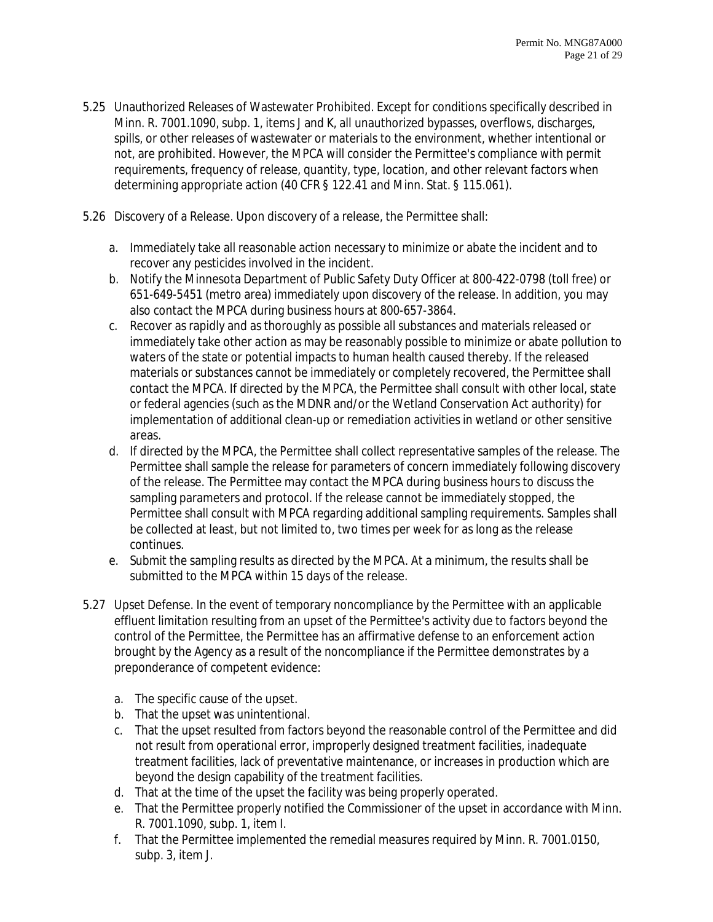- 5.25 Unauthorized Releases of Wastewater Prohibited. Except for conditions specifically described in Minn. R. 7001.1090, subp. 1, items J and K, all unauthorized bypasses, overflows, discharges, spills, or other releases of wastewater or materials to the environment, whether intentional or not, are prohibited. However, the MPCA will consider the Permittee's compliance with permit requirements, frequency of release, quantity, type, location, and other relevant factors when determining appropriate action (40 CFR § 122.41 and Minn. Stat. § 115.061).
- 5.26 Discovery of a Release. Upon discovery of a release, the Permittee shall:
	- a. Immediately take all reasonable action necessary to minimize or abate the incident and to recover any pesticides involved in the incident.
	- b. Notify the Minnesota Department of Public Safety Duty Officer at 800-422-0798 (toll free) or 651-649-5451 (metro area) immediately upon discovery of the release. In addition, you may also contact the MPCA during business hours at 800-657-3864.
	- c. Recover as rapidly and as thoroughly as possible all substances and materials released or immediately take other action as may be reasonably possible to minimize or abate pollution to waters of the state or potential impacts to human health caused thereby. If the released materials or substances cannot be immediately or completely recovered, the Permittee shall contact the MPCA. If directed by the MPCA, the Permittee shall consult with other local, state or federal agencies (such as the MDNR and/or the Wetland Conservation Act authority) for implementation of additional clean-up or remediation activities in wetland or other sensitive areas.
	- d. If directed by the MPCA, the Permittee shall collect representative samples of the release. The Permittee shall sample the release for parameters of concern immediately following discovery of the release. The Permittee may contact the MPCA during business hours to discuss the sampling parameters and protocol. If the release cannot be immediately stopped, the Permittee shall consult with MPCA regarding additional sampling requirements. Samples shall be collected at least, but not limited to, two times per week for as long as the release continues.
	- e. Submit the sampling results as directed by the MPCA. At a minimum, the results shall be submitted to the MPCA within 15 days of the release.
- 5.27 Upset Defense. In the event of temporary noncompliance by the Permittee with an applicable effluent limitation resulting from an upset of the Permittee's activity due to factors beyond the control of the Permittee, the Permittee has an affirmative defense to an enforcement action brought by the Agency as a result of the noncompliance if the Permittee demonstrates by a preponderance of competent evidence:
	- a. The specific cause of the upset.
	- b. That the upset was unintentional.
	- c. That the upset resulted from factors beyond the reasonable control of the Permittee and did not result from operational error, improperly designed treatment facilities, inadequate treatment facilities, lack of preventative maintenance, or increases in production which are beyond the design capability of the treatment facilities.
	- d. That at the time of the upset the facility was being properly operated.
	- e. That the Permittee properly notified the Commissioner of the upset in accordance with Minn. R. 7001.1090, subp. 1, item I.
	- f. That the Permittee implemented the remedial measures required by Minn. R. 7001.0150, subp. 3, item J.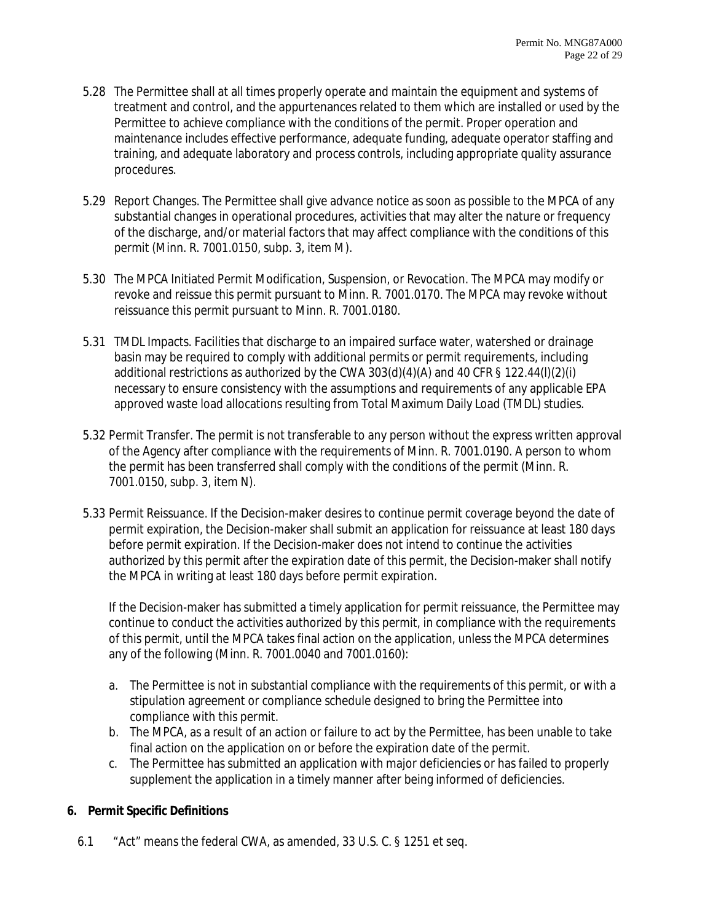- 5.28 The Permittee shall at all times properly operate and maintain the equipment and systems of treatment and control, and the appurtenances related to them which are installed or used by the Permittee to achieve compliance with the conditions of the permit. Proper operation and maintenance includes effective performance, adequate funding, adequate operator staffing and training, and adequate laboratory and process controls, including appropriate quality assurance procedures.
- 5.29 Report Changes. The Permittee shall give advance notice as soon as possible to the MPCA of any substantial changes in operational procedures, activities that may alter the nature or frequency of the discharge, and/or material factors that may affect compliance with the conditions of this permit (Minn. R. 7001.0150, subp. 3, item M).
- 5.30 The MPCA Initiated Permit Modification, Suspension, or Revocation. The MPCA may modify or revoke and reissue this permit pursuant to Minn. R. 7001.0170. The MPCA may revoke without reissuance this permit pursuant to Minn. R. 7001.0180.
- 5.31 TMDL Impacts. Facilities that discharge to an impaired surface water, watershed or drainage basin may be required to comply with additional permits or permit requirements, including additional restrictions as authorized by the CWA 303(d)(4)(A) and 40 CFR § 122.44(l)(2)(i) necessary to ensure consistency with the assumptions and requirements of any applicable EPA approved waste load allocations resulting from Total Maximum Daily Load (TMDL) studies.
- 5.32 Permit Transfer. The permit is not transferable to any person without the express written approval of the Agency after compliance with the requirements of Minn. R. 7001.0190. A person to whom the permit has been transferred shall comply with the conditions of the permit (Minn. R. 7001.0150, subp. 3, item N).
- 5.33 Permit Reissuance. If the Decision-maker desires to continue permit coverage beyond the date of permit expiration, the Decision-maker shall submit an application for reissuance at least 180 days before permit expiration. If the Decision-maker does not intend to continue the activities authorized by this permit after the expiration date of this permit, the Decision-maker shall notify the MPCA in writing at least 180 days before permit expiration.

If the Decision-maker has submitted a timely application for permit reissuance, the Permittee may continue to conduct the activities authorized by this permit, in compliance with the requirements of this permit, until the MPCA takes final action on the application, unless the MPCA determines any of the following (Minn. R. 7001.0040 and 7001.0160):

- a. The Permittee is not in substantial compliance with the requirements of this permit, or with a stipulation agreement or compliance schedule designed to bring the Permittee into compliance with this permit.
- b. The MPCA, as a result of an action or failure to act by the Permittee, has been unable to take final action on the application on or before the expiration date of the permit.
- c. The Permittee has submitted an application with major deficiencies or has failed to properly supplement the application in a timely manner after being informed of deficiencies.

# **6. Permit Specific Definitions**

6.1 "Act" means the federal CWA, as amended, 33 U.S. C. § 1251 et seq.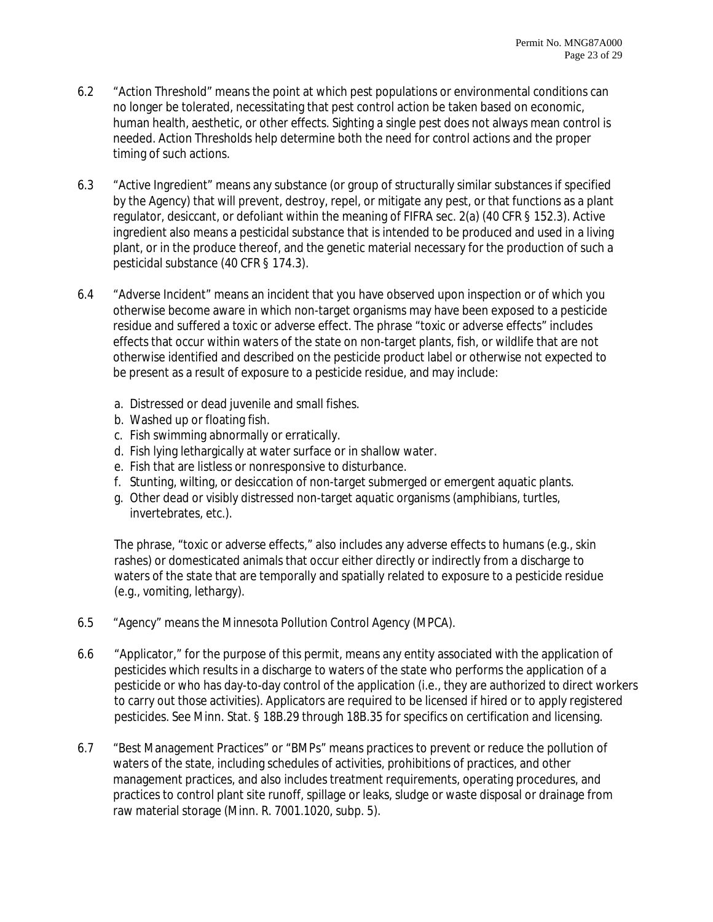- 6.2 "Action Threshold" means the point at which pest populations or environmental conditions can no longer be tolerated, necessitating that pest control action be taken based on economic, human health, aesthetic, or other effects. Sighting a single pest does not always mean control is needed. Action Thresholds help determine both the need for control actions and the proper timing of such actions.
- 6.3 "Active Ingredient" means any substance (or group of structurally similar substances if specified by the Agency) that will prevent, destroy, repel, or mitigate any pest, or that functions as a plant regulator, desiccant, or defoliant within the meaning of FIFRA sec. 2(a) (40 CFR § 152.3). Active ingredient also means a pesticidal substance that is intended to be produced and used in a living plant, or in the produce thereof, and the genetic material necessary for the production of such a pesticidal substance (40 CFR § 174.3).
- 6.4 "Adverse Incident" means an incident that you have observed upon inspection or of which you otherwise become aware in which non-target organisms may have been exposed to a pesticide residue and suffered a toxic or adverse effect. The phrase "toxic or adverse effects" includes effects that occur within waters of the state on non-target plants, fish, or wildlife that are not otherwise identified and described on the pesticide product label or otherwise not expected to be present as a result of exposure to a pesticide residue, and may include:
	- a. Distressed or dead juvenile and small fishes.
	- b. Washed up or floating fish.
	- c. Fish swimming abnormally or erratically.
	- d. Fish lying lethargically at water surface or in shallow water.
	- e. Fish that are listless or nonresponsive to disturbance.
	- f. Stunting, wilting, or desiccation of non-target submerged or emergent aquatic plants.
	- g. Other dead or visibly distressed non-target aquatic organisms (amphibians, turtles, invertebrates, etc.).

The phrase, "toxic or adverse effects," also includes any adverse effects to humans (e.g., skin rashes) or domesticated animals that occur either directly or indirectly from a discharge to waters of the state that are temporally and spatially related to exposure to a pesticide residue (e.g., vomiting, lethargy).

- 6.5 "Agency" means the Minnesota Pollution Control Agency (MPCA).
- 6.6 "Applicator," for the purpose of this permit, means any entity associated with the application of pesticides which results in a discharge to waters of the state who performs the application of a pesticide or who has day-to-day control of the application (i.e., they are authorized to direct workers to carry out those activities). Applicators are required to be licensed if hired or to apply registered pesticides. See Minn. Stat. § 18B.29 through 18B.35 for specifics on certification and licensing.
- 6.7 "Best Management Practices" or "BMPs" means practices to prevent or reduce the pollution of waters of the state, including schedules of activities, prohibitions of practices, and other management practices, and also includes treatment requirements, operating procedures, and practices to control plant site runoff, spillage or leaks, sludge or waste disposal or drainage from raw material storage (Minn. R. 7001.1020, subp. 5).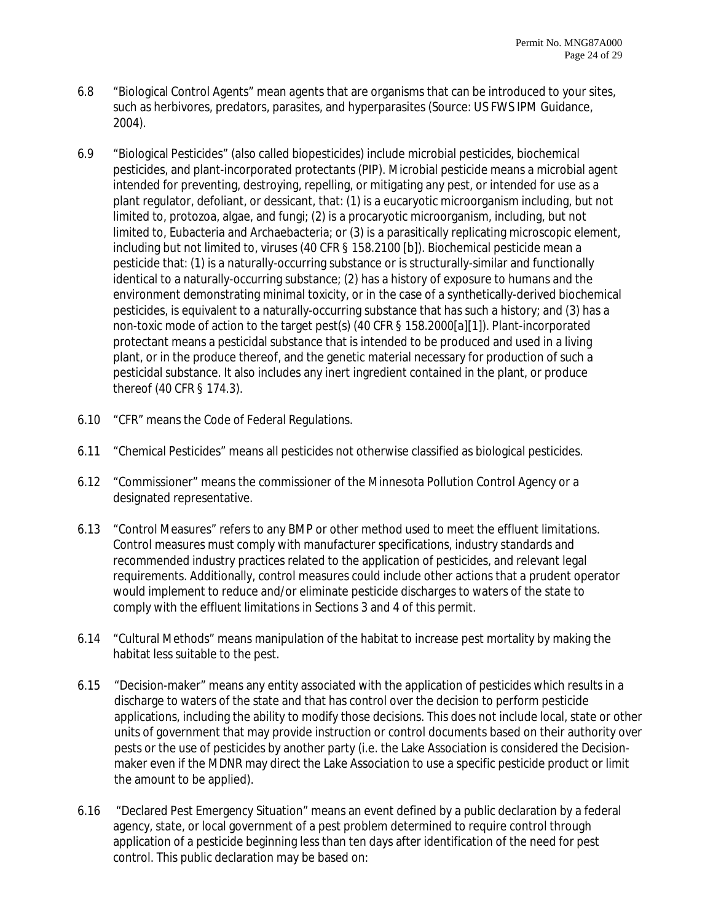- 6.8 "Biological Control Agents" mean agents that are organisms that can be introduced to your sites, such as herbivores, predators, parasites, and hyperparasites (Source: US FWS IPM Guidance, 2004).
- 6.9 "Biological Pesticides" (also called biopesticides) include microbial pesticides, biochemical pesticides, and plant-incorporated protectants (PIP). Microbial pesticide means a microbial agent intended for preventing, destroying, repelling, or mitigating any pest, or intended for use as a plant regulator, defoliant, or dessicant, that: (1) is a eucaryotic microorganism including, but not limited to, protozoa, algae, and fungi; (2) is a procaryotic microorganism, including, but not limited to, Eubacteria and Archaebacteria; or (3) is a parasitically replicating microscopic element, including but not limited to, viruses (40 CFR § 158.2100 [b]). Biochemical pesticide mean a pesticide that: (1) is a naturally-occurring substance or is structurally-similar and functionally identical to a naturally-occurring substance; (2) has a history of exposure to humans and the environment demonstrating minimal toxicity, or in the case of a synthetically-derived biochemical pesticides, is equivalent to a naturally-occurring substance that has such a history; and (3) has a non-toxic mode of action to the target pest(s) (40 CFR § 158.2000[a][1]). Plant-incorporated protectant means a pesticidal substance that is intended to be produced and used in a living plant, or in the produce thereof, and the genetic material necessary for production of such a pesticidal substance. It also includes any inert ingredient contained in the plant, or produce thereof (40 CFR § 174.3).
- 6.10 "CFR" means the Code of Federal Regulations.
- 6.11 "Chemical Pesticides" means all pesticides not otherwise classified as biological pesticides.
- 6.12 "Commissioner" means the commissioner of the Minnesota Pollution Control Agency or a designated representative.
- 6.13 "Control Measures" refers to any BMP or other method used to meet the effluent limitations. Control measures must comply with manufacturer specifications, industry standards and recommended industry practices related to the application of pesticides, and relevant legal requirements. Additionally, control measures could include other actions that a prudent operator would implement to reduce and/or eliminate pesticide discharges to waters of the state to comply with the effluent limitations in Sections 3 and 4 of this permit.
- 6.14 "Cultural Methods" means manipulation of the habitat to increase pest mortality by making the habitat less suitable to the pest.
- 6.15 "Decision-maker" means any entity associated with the application of pesticides which results in a discharge to waters of the state and that has control over the decision to perform pesticide applications, including the ability to modify those decisions. This does not include local, state or other units of government that may provide instruction or control documents based on their authority over pests or the use of pesticides by another party (i.e. the Lake Association is considered the Decisionmaker even if the MDNR may direct the Lake Association to use a specific pesticide product or limit the amount to be applied).
- 6.16 "Declared Pest Emergency Situation" means an event defined by a public declaration by a federal agency, state, or local government of a pest problem determined to require control through application of a pesticide beginning less than ten days after identification of the need for pest control. This public declaration may be based on: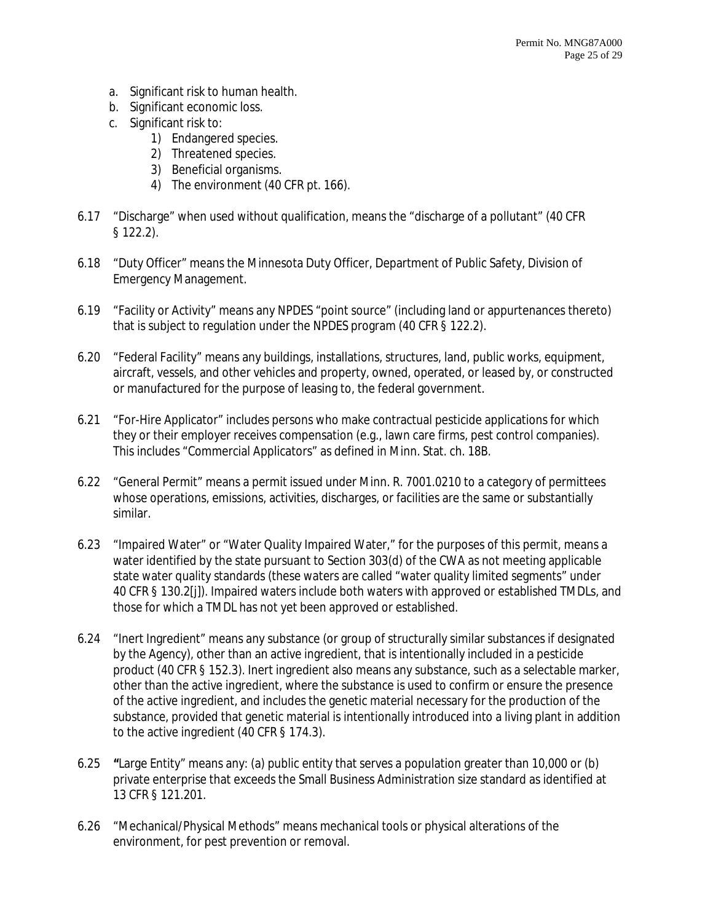- a. Significant risk to human health.
- b. Significant economic loss.
- c. Significant risk to:
	- 1) Endangered species.
	- 2) Threatened species.
	- 3) Beneficial organisms.
	- 4) The environment (40 CFR pt. 166).
- 6.17 "Discharge" when used without qualification, means the "discharge of a pollutant" (40 CFR § 122.2).
- 6.18 "Duty Officer" means the Minnesota Duty Officer, Department of Public Safety, Division of Emergency Management.
- 6.19 "Facility or Activity" means any NPDES "point source" (including land or appurtenances thereto) that is subject to regulation under the NPDES program (40 CFR § 122.2).
- 6.20 "Federal Facility" means any buildings, installations, structures, land, public works, equipment, aircraft, vessels, and other vehicles and property, owned, operated, or leased by, or constructed or manufactured for the purpose of leasing to, the federal government.
- 6.21 "For-Hire Applicator" includes persons who make contractual pesticide applications for which they or their employer receives compensation (e.g., lawn care firms, pest control companies). This includes "Commercial Applicators" as defined in Minn. Stat. ch. 18B.
- 6.22 "General Permit" means a permit issued under Minn. R. 7001.0210 to a category of permittees whose operations, emissions, activities, discharges, or facilities are the same or substantially similar.
- 6.23 "Impaired Water" or "Water Quality Impaired Water," for the purposes of this permit, means a water identified by the state pursuant to Section 303(d) of the CWA as not meeting applicable state water quality standards (these waters are called "water quality limited segments" under 40 CFR § 130.2[j]). Impaired waters include both waters with approved or established TMDLs, and those for which a TMDL has not yet been approved or established.
- 6.24 "Inert Ingredient" means any substance (or group of structurally similar substances if designated by the Agency), other than an active ingredient, that is intentionally included in a pesticide product (40 CFR § 152.3). Inert ingredient also means any substance, such as a selectable marker, other than the active ingredient, where the substance is used to confirm or ensure the presence of the active ingredient, and includes the genetic material necessary for the production of the substance, provided that genetic material is intentionally introduced into a living plant in addition to the active ingredient (40 CFR § 174.3).
- 6.25 **"**Large Entity" means any: (a) public entity that serves a population greater than 10,000 or (b) private enterprise that exceeds the Small Business Administration size standard as identified at 13 CFR § 121.201.
- 6.26 "Mechanical/Physical Methods" means mechanical tools or physical alterations of the environment, for pest prevention or removal.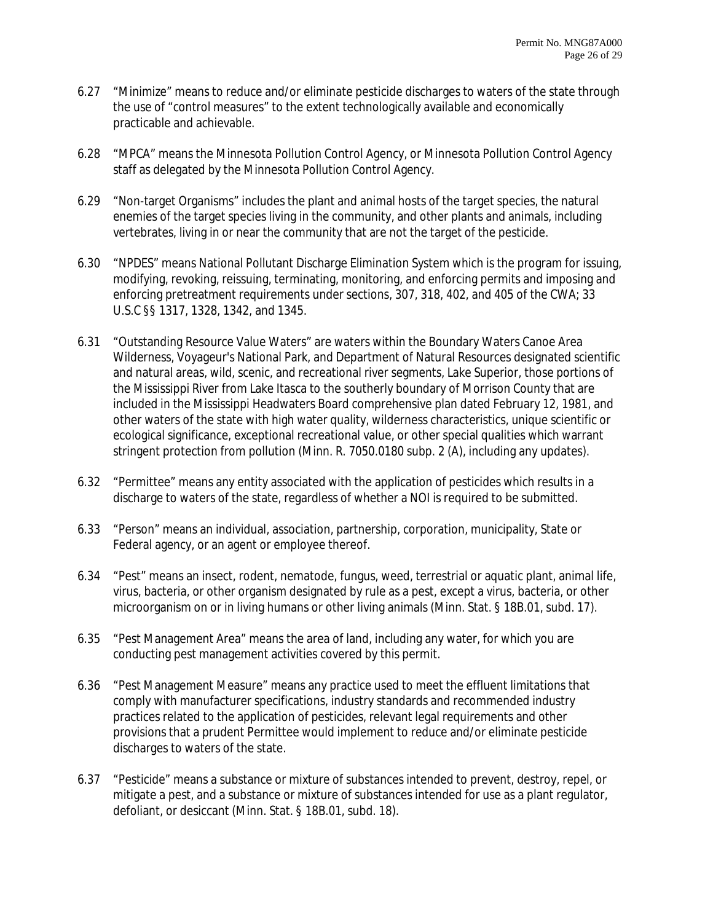- 6.27 "Minimize" means to reduce and/or eliminate pesticide discharges to waters of the state through the use of "control measures" to the extent technologically available and economically practicable and achievable.
- 6.28 "MPCA" means the Minnesota Pollution Control Agency, or Minnesota Pollution Control Agency staff as delegated by the Minnesota Pollution Control Agency.
- 6.29 "Non-target Organisms" includes the plant and animal hosts of the target species, the natural enemies of the target species living in the community, and other plants and animals, including vertebrates, living in or near the community that are not the target of the pesticide.
- 6.30 "NPDES" means National Pollutant Discharge Elimination System which is the program for issuing, modifying, revoking, reissuing, terminating, monitoring, and enforcing permits and imposing and enforcing pretreatment requirements under sections, 307, 318, 402, and 405 of the CWA; 33 U.S.C §§ 1317, 1328, 1342, and 1345.
- 6.31 "Outstanding Resource Value Waters" are waters within the Boundary Waters Canoe Area Wilderness, Voyageur's National Park, and Department of Natural Resources designated scientific and natural areas, wild, scenic, and recreational river segments, Lake Superior, those portions of the Mississippi River from Lake Itasca to the southerly boundary of Morrison County that are included in the Mississippi Headwaters Board comprehensive plan dated February 12, 1981, and other waters of the state with high water quality, wilderness characteristics, unique scientific or ecological significance, exceptional recreational value, or other special qualities which warrant stringent protection from pollution (Minn. R. 7050.0180 subp. 2 (A), including any updates).
- 6.32 "Permittee" means any entity associated with the application of pesticides which results in a discharge to waters of the state, regardless of whether a NOI is required to be submitted.
- 6.33 "Person" means an individual, association, partnership, corporation, municipality, State or Federal agency, or an agent or employee thereof.
- 6.34 "Pest" means an insect, rodent, nematode, fungus, weed, terrestrial or aquatic plant, animal life, virus, bacteria, or other organism designated by rule as a pest, except a virus, bacteria, or other microorganism on or in living humans or other living animals (Minn. Stat. § 18B.01, subd. 17).
- 6.35 "Pest Management Area" means the area of land, including any water, for which you are conducting pest management activities covered by this permit.
- 6.36 "Pest Management Measure" means any practice used to meet the effluent limitations that comply with manufacturer specifications, industry standards and recommended industry practices related to the application of pesticides, relevant legal requirements and other provisions that a prudent Permittee would implement to reduce and/or eliminate pesticide discharges to waters of the state.
- 6.37 "Pesticide" means a substance or mixture of substances intended to prevent, destroy, repel, or mitigate a pest, and a substance or mixture of substances intended for use as a plant regulator, defoliant, or desiccant (Minn. Stat. § 18B.01, subd. 18).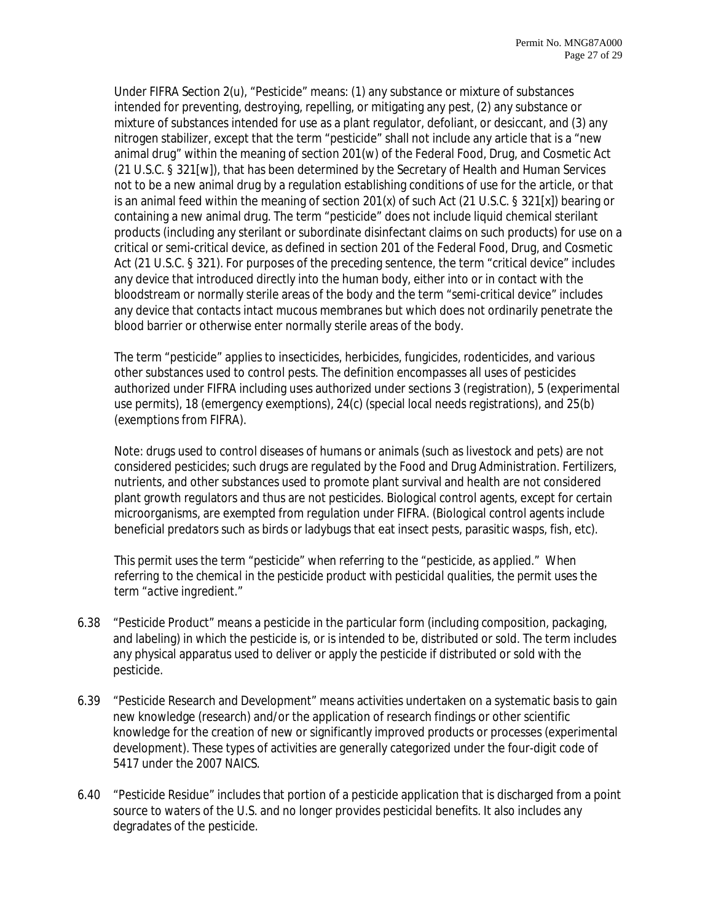Under FIFRA Section 2(u), "Pesticide" means: (1) any substance or mixture of substances intended for preventing, destroying, repelling, or mitigating any pest, (2) any substance or mixture of substances intended for use as a plant regulator, defoliant, or desiccant, and (3) any nitrogen stabilizer, except that the term "pesticide" shall not include any article that is a "new animal drug" within the meaning of section 201(w) of the Federal Food, Drug, and Cosmetic Act (21 U.S.C. § 321[w]), that has been determined by the Secretary of Health and Human Services not to be a new animal drug by a regulation establishing conditions of use for the article, or that is an animal feed within the meaning of section 201(x) of such Act (21 U.S.C. § 321[x]) bearing or containing a new animal drug. The term "pesticide" does not include liquid chemical sterilant products (including any sterilant or subordinate disinfectant claims on such products) for use on a critical or semi-critical device, as defined in section 201 of the Federal Food, Drug, and Cosmetic Act (21 U.S.C. § 321). For purposes of the preceding sentence, the term "critical device" includes any device that introduced directly into the human body, either into or in contact with the bloodstream or normally sterile areas of the body and the term "semi-critical device" includes any device that contacts intact mucous membranes but which does not ordinarily penetrate the blood barrier or otherwise enter normally sterile areas of the body.

The term "pesticide" applies to insecticides, herbicides, fungicides, rodenticides, and various other substances used to control pests. The definition encompasses all uses of pesticides authorized under FIFRA including uses authorized under sections 3 (registration), 5 (experimental use permits), 18 (emergency exemptions), 24(c) (special local needs registrations), and 25(b) (exemptions from FIFRA).

Note: drugs used to control diseases of humans or animals (such as livestock and pets) are not considered pesticides; such drugs are regulated by the Food and Drug Administration. Fertilizers, nutrients, and other substances used to promote plant survival and health are not considered plant growth regulators and thus are not pesticides. Biological control agents, except for certain microorganisms, are exempted from regulation under FIFRA. (Biological control agents include beneficial predators such as birds or ladybugs that eat insect pests, parasitic wasps, fish, etc).

*This permit uses the term "pesticide" when referring to the "pesticide, as applied." When referring to the chemical in the pesticide product with pesticidal qualities, the permit uses the term "active ingredient."* 

- 6.38 "Pesticide Product" means a pesticide in the particular form (including composition, packaging, and labeling) in which the pesticide is, or is intended to be, distributed or sold. The term includes any physical apparatus used to deliver or apply the pesticide if distributed or sold with the pesticide.
- 6.39 "Pesticide Research and Development" means activities undertaken on a systematic basis to gain new knowledge (research) and/or the application of research findings or other scientific knowledge for the creation of new or significantly improved products or processes (experimental development). These types of activities are generally categorized under the four-digit code of 5417 under the 2007 NAICS.
- 6.40 "Pesticide Residue" includes that portion of a pesticide application that is discharged from a point source to waters of the U.S. and no longer provides pesticidal benefits. It also includes any degradates of the pesticide.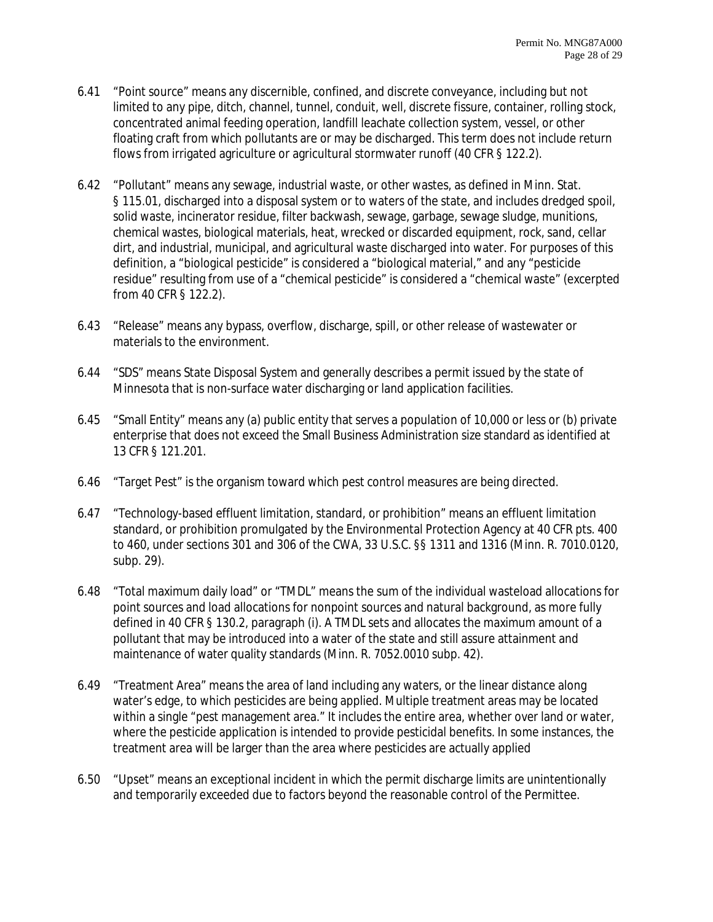- 6.41 "Point source" means any discernible, confined, and discrete conveyance, including but not limited to any pipe, ditch, channel, tunnel, conduit, well, discrete fissure, container, rolling stock, concentrated animal feeding operation, landfill leachate collection system, vessel, or other floating craft from which pollutants are or may be discharged. This term does not include return flows from irrigated agriculture or agricultural stormwater runoff (40 CFR § 122.2).
- 6.42 "Pollutant" means any sewage, industrial waste, or other wastes, as defined in Minn. Stat. § 115.01, discharged into a disposal system or to waters of the state, and includes dredged spoil, solid waste, incinerator residue, filter backwash, sewage, garbage, sewage sludge, munitions, chemical wastes, biological materials, heat, wrecked or discarded equipment, rock, sand, cellar dirt, and industrial, municipal, and agricultural waste discharged into water. For purposes of this definition, a "biological pesticide" is considered a "biological material," and any "pesticide residue" resulting from use of a "chemical pesticide" is considered a "chemical waste" (excerpted from 40 CFR § 122.2).
- 6.43 "Release" means any bypass, overflow, discharge, spill, or other release of wastewater or materials to the environment.
- 6.44 "SDS" means State Disposal System and generally describes a permit issued by the state of Minnesota that is non-surface water discharging or land application facilities.
- 6.45 "Small Entity" means any (a) public entity that serves a population of 10,000 or less or (b) private enterprise that does not exceed the Small Business Administration size standard as identified at 13 CFR § 121.201.
- 6.46 "Target Pest" is the organism toward which pest control measures are being directed.
- 6.47 "Technology-based effluent limitation, standard, or prohibition" means an effluent limitation standard, or prohibition promulgated by the Environmental Protection Agency at 40 CFR pts. 400 to 460, under sections 301 and 306 of the CWA, 33 U.S.C. §§ 1311 and 1316 (Minn. R. 7010.0120, subp. 29).
- 6.48 "Total maximum daily load" or "TMDL" means the sum of the individual wasteload allocations for point sources and load allocations for nonpoint sources and natural background, as more fully defined in 40 CFR § 130.2, paragraph (i). A TMDL sets and allocates the maximum amount of a pollutant that may be introduced into a water of the state and still assure attainment and maintenance of water quality standards (Minn. R. 7052.0010 subp. 42).
- 6.49 "Treatment Area" means the area of land including any waters, or the linear distance along water's edge, to which pesticides are being applied. Multiple treatment areas may be located within a single "pest management area." It includes the entire area, whether over land or water, where the pesticide application is intended to provide pesticidal benefits. In some instances, the treatment area will be larger than the area where pesticides are actually applied
- 6.50 "Upset" means an exceptional incident in which the permit discharge limits are unintentionally and temporarily exceeded due to factors beyond the reasonable control of the Permittee.